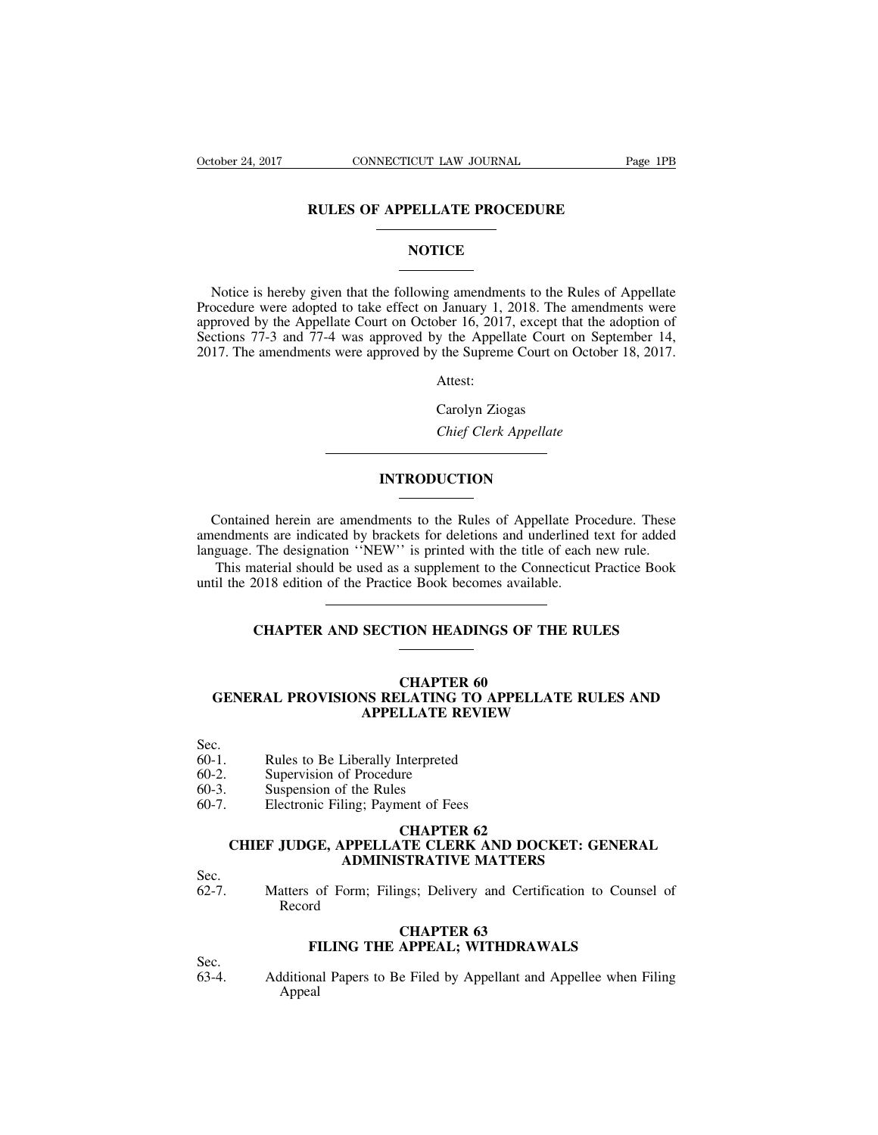# **CONNECTICUT LAW JOURNAL** Page<br>
RULES OF APPELLATE PROCEDURE

### **NOTICE**

RULES OF APPELLATE PROCEDURE<br>
NOTICE<br>
Notice is hereby given that the following amendments to the Rules of Appellate<br>
ocedure were adopted to take effect on January 1, 2018. The amendments were<br>
proved by the Appellate Cou **RULES OF APPELLATE PROCEDURE**<br>
NOTICE<br>
Notice is hereby given that the following amendments to the Rules of Appellate<br>
Procedure were adopted to take effect on January 1, 2018. The amendments were<br>
approved by the Appella **NOTICE**<br>
Notice is hereby given that the following amendments to the Rules of Appellate<br>
Procedure were adopted to take effect on January 1, 2018. The amendments were<br>
approved by the Appellate Court on October 16, 2017, **SECT:**<br>
Notice is hereby given that the following amendments to the Rules of Appellate<br>
Procedure were adopted to take effect on January 1, 2018. The amendments were<br>
approved by the Appellate Court on October 16, 2017, e **2017.** Notice is hereby given that the following amendments to the Rules of Appellate Procedure were adopted to take effect on January 1, 2018. The amendments were approved by the Appellate Court on October 16, 2017, exce Procedure were adopted to take effect on January 1, 2018. The amendments were<br>approved by the Appellate Court on October 16, 2017, except that the adoption of<br>Sections 77-3 and 77-4 was approved by the Appellate Court on S **Example 26 Appellate Court on September 10 Appellate Court on September 1<br>** *Chief Clerk Appellate***<br>** *Carolyn Ziogas***<br>** *Chief Clerk Appellate* 

Attest:

### **INTRODUCTION**

Chief Clerk Appellate<br>
Contained herein are amendments to the Rules of Appellate Procedure. These<br>
endments are indicated by brackets for deletions and underlined text for added<br>
iguage. The designation "NEW" is printed wi Contained herein are amendments to the Rules of Appellate Procedure. These<br>amendments are indicated by brackets for deletions and underlined text for added<br>language. The designation "NEW" is printed with the title of each **INTRODUCTION**<br>
Contained herein are amendments to the Rules of Appellate Procedure. These<br>
amendments are indicated by brackets for deletions and underlined text for added<br>
language. The designation "NEW" is printed with This material should be used as a supplement to the Connective Procedure. These<br>endments are indicated by brackets for deletions and underlined text for added<br>guage. The designation "NEW" is printed with the title of each Contained herein are amendments to the Rules of Appellate Pro<br>amendments are indicated by brackets for deletions and underlined<br>language. The designation "NEW" is printed with the title of each<br>This material should be used The designation "NEW" is printed with the title of each new rule.<br>
Interial should be used as a supplement to the Connecticut Practice Book<br>
2018 edition of the Practice Book becomes available.<br> **CHAPTER AND SECTION HEADIN** 

## ce Book becomes availabl<br> **CHAPTER 60<br>
CHAPTER 60<br>
LEATING TO APPELLA<br>
LLATE REVIEW** CHAPTER AND SECTION HEADINGS OF THE RULES<br>
CHAPTER 60<br>
GENERAL PROVISIONS RELATING TO APPELLATE RULES AND<br>
APPELLATE REVIEW **APPELLATE SECTION HEADINGS OF THE RULES<br>
CHAPTER 60<br>
NS RELATING TO APPELLATE RULES A<br>
APPELLATE REVIEW** CHAPTER 60<br>
GENERAL PROVISIONS RELATING TO APPE<br>
APPELLATE REVIEW<br>
Sec.<br>
60-1. Rules to Be Liberally Interpreted<br>
60-2. Supervision of Procedure<br>
60-3. Suspension of the Rules CHAPTER<br>
GENERAL PROVISIONS RELATING T<br>
APPELLATE RE<br>
Sec.<br>
60-1. Rules to Be Liberally Interpreted<br>
60-2. Supervision of Procedure<br>
60-3. Suspension of the Rules<br>
60-7. Electronic Filing; Payment of Fees **GENERAL PROVISIONS RELATING<br>
APPELLATE I<br>
Sec.**<br>
60-1. Rules to Be Liberally Interpreted<br>
60-2. Supervision of Procedure<br>
60-3. Suspension of the Rules<br>
60-7. Electronic Filing; Payment of Fe 60-1. Rules to Be Liberally Interpreted<br>60-2. Supervision of Procedure<br>60-3. Suspension of the Rules<br>60-7. Electronic Filing; Payment of Fees<br>CHAPTER 62

- Sec.
- 
- 
- 
- 

## **Interpreted<br>Ire**<br>S<br>CHAPTER 62<br>CHAPTER 62<br>TE CLERK AND DOCI<br>STRATIVE MATTERS Rules to Be Liberally Interpreted<br>
Supervision of Procedure<br>
Suspension of the Rules<br>
Electronic Filing; Payment of Fees<br> **CHAPTER 62<br>
CHIEF JUDGE, APPELLATE CLERK AND DOCKET: GENERAL<br>
ADMINISTRATIVE MATTERS** Liberally Interpreted<br>
of Procedure<br>
f the Rules<br>
ling; Payment of Fees<br> **CHAPTER 62<br>
CHAPTER 62<br>
ADMINISTRATIVE MATTERS**<br>
Form; Filings; Delivery and Certification to C 60-3. Suspension of the Rules<br>60-7. Electronic Filing; Payment of Fees<br>**CHAPTER 62**<br>**CHIEF JUDGE, APPELLATE CLERK AND DOCKET: GENERAL**<br>Sec.<br>62-7. Matters of Form; Filings; Delivery and Certification to Counsel of<br>Record<br>**C CHAPTER 62<br>TE CLERK AND DOCISTRATIVE MATTERS**<br>STRATIVE MATTERS<br>ngs; Delivery and Certific<br>CHAPTER 63<br>APPEAL; WITHDRAW.

Sec.<br>62-7.

Record **FILING THE APPEAL; MATTERS**<br>**FILING THE APPEAL; WITHDRAWALS**<br>**FILING THE APPEAL; WITHDRAWALS**<br>**FILING THE APPEAL; WITHDRAWALS** Sec.<br>
62-7. Matters of Form; Filings; Delivery and Certification to Counsel of<br>
Record<br> **CHAPTER 63**<br> **Sec.**<br>
63-4. Additional Papers to Be Filed by Appellant and Appellee when Filing<br>
Appeal

Sec.<br>63-4.

Appeal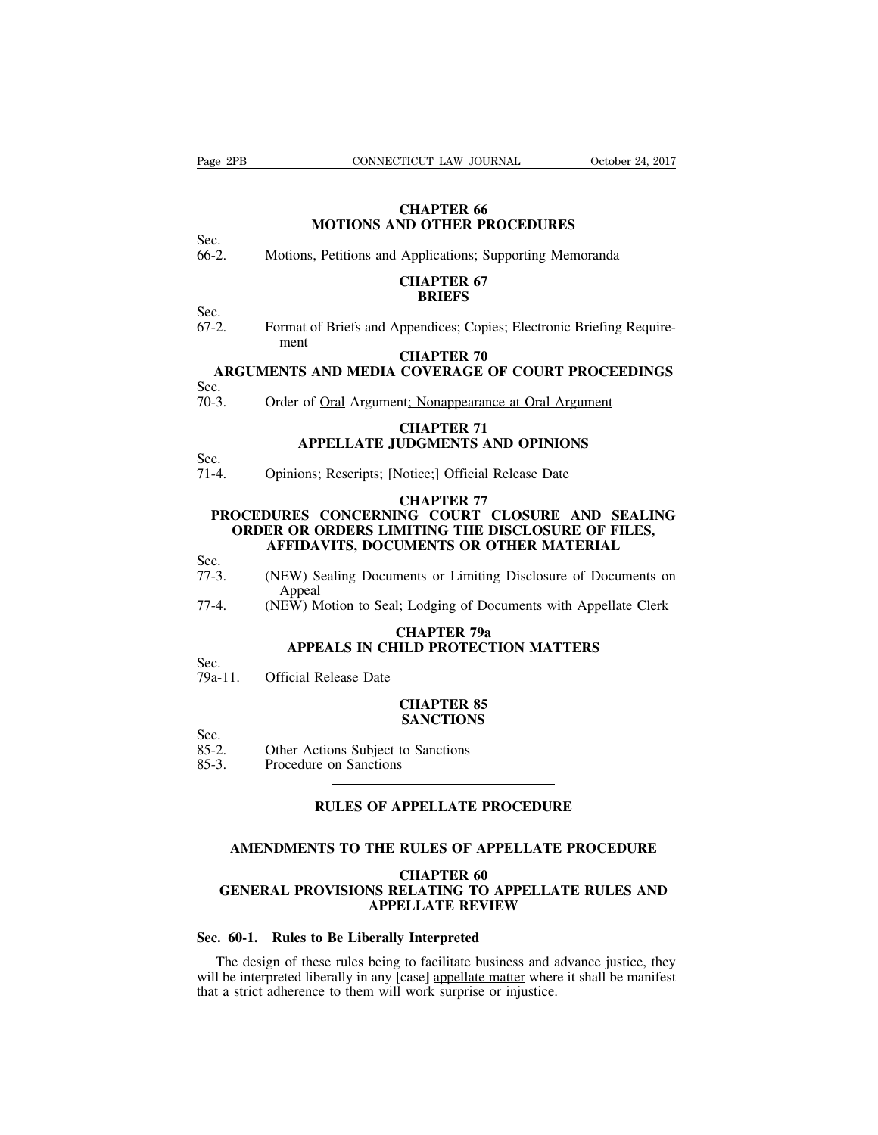Page 2PB CONNECTICUT LAW JOURNAL October 24, 2017

## **TICUT LAW JOURNAL<br>CHAPTER 66<br>ND OTHER PROCEDUI CONNECTICUT LAW JOURNAL** October 24<br> **CHAPTER 66**<br> **MOTIONS AND OTHER PROCEDURES**<br> **MEXICALLE PROCEDURES**<br> **MEXICALLE PROCEDURES** Fage 2PB CONNECTICUT LAW JOURNAL October 24, 2017<br> **CHAPTER 66**<br>
Sec.<br>
66-2. Motions, Petitions and Applications; Supporting Memoranda<br> **CHAPTER 67**<br>
67 **CHAPTER 66<br>
ND OTHER PROCEDUI<br>
Applications: Supporting 1<br>
<b>CHAPTER 67<br>
BRIEFS**

Sec.<br>66-2.

### **BRIEFS**

Sec.  $67-2$ . MOTIONS AND OTHER PROCEDURES<br>
Sec.<br>
66-2. Motions, Petitions and Applications; Supporting Memoranda<br> **CHAPTER 67**<br>
Sec.<br>
67-2. Format of Briefs and Appendices; Copies; Electronic Briefing Require-<br> **CHAPTER 70** ment **Applications; Supporting 1**<br> **CHAPTER 67**<br> **BRIEFS**<br>
ppendices; Copies; Electro<br> **CHAPTER 70**<br> **COVERAGE OF COUR CHAPTER 67**<br> **BRIEFS**<br>
2. Format of Briefs and Appendices; Copies; Electronic Briefing Requirement<br> **ARGUMENTS AND MEDIA COVERAGE OF COURT PROCEEDINGS**<br>
2.<br>
3. Order of <u>Oral</u> Argument<u>; Nonappearance at Oral Argument</u> Sec.<br>
67-2. Format of Briefs and Appendices; Copies; Electronic Briefing Req<br>
ment<br> **ARGUMENTS AND MEDIA COVERAGE OF COURT PROCEEDIN**<br>
Sec.<br>
70-3. Order of <u>Oral</u> Argument<u>; Nonappearance at Oral Argument</u><br> **CHAPTER 71** -2. Format of Briefs and Appendices; Copies; Electronic Briefing Requirement<br> **CHAPTER 70**<br> **CHAPTER 70**<br>
C.<br>
C.<br>
C.<br>
Critics of <u>Oral</u> Argument<u>; Nonappearance at Oral Argument</u><br>
CHAPTER 71<br>
APPELLATE JUDGMENTS AND OPINIO

# THE **APPLICE OF COURT PROCEEDING**<br> **APPELLATE JUDGMENTS AND OPINIONS**<br>
THE JUDGMENTS AND OPINIONS<br>
APPELLATE JUDGMENTS AND OPINIONS<br>
SONS; Rescripts; [Notice:] Official Release Date

Sec.<br>70-3.

# ARGUMENTS AND MEDIA COVERAGE OF COURT PROCEE<br>
Sec.<br>
70-3. Order of <u>Oral</u> Argument<u>; Nonappearance at Oral Argument</u><br>
CHAPTER 71<br>
APPELLATE JUDGMENTS AND OPINIONS<br>
Sec.<br>
71-4. Opinions; Rescripts; [Notice;] Official Releas

Sec.<br>71-4.

## **Opinions; Rescripts; [Notice;] Official Release Date<br>
CHAPTER 77<br>
<b>CCEDURES CONCERNING COURT CLOSURE AND SEALIT<br>
ORDER OR ORDERS LIMITING THE DISCLOSURE OF FILES, PROCEDURES CONCERNING COURT CLOSURE AND SEALING<br>PROCEDURES CONCERNING COURT CLOSURE AND SEALING<br>PROCEDURES CONCERNING COURT CLOSURE AND SEALING<br>ORDER OR ORDERS LIMITING THE DISCLOSURE OF FILES,<br>AFFIDAVITS, DOCUMENTS OR OT** PROCEDURES CONCERNING COURT CLOSURE AND SEALING **APPELLATE JUDGMENTS AND OPINIONS**<br>
Opinions; Rescripts; [Notice;] Official Release Date<br> **CHAPTER 77**<br> **DURES CONCERNING COURT CLOSURE AND SEALING**<br> **ER OR ORDERS LIMITING THE DISCLOSURE OF FILES,<br>
AFFIDAVITS, DOCUMENTS O** THE THE CONSIDERT CONSIDER THE DISCLOSURE AND SEALING<br>
CHAPTER 77<br>
PROCEDURES CONCERNING COURT CLOSURE AND SEALING<br>
ORDER OR ORDERS LIMITING THE DISCLOSURE OF FILES,<br>
AFFIDAVITS, DOCUMENTS OR OTHER MATERIAL<br>
Sec.<br>
TT-3. (N PROCEDURES CONCERNING COURT CLOSURE AND SEALING<br>
ORDER OR ORDERS LIMITING THE DISCLOSURE OF FILES,<br>
AFFIDAVITS, DOCUMENTS OR OTHER MATERIAL<br>
Sec.<br>
(NEW) Sealing Documents or Limiting Disclosure of Documents on<br>
Appeal<br>
(NE

- 
- Sec.<br>77-3. **AFFIDAVITS, DOCUMENTS OR OTHER MATERIAL**<br>
(NEW) Sealing Documents or Limiting Disclosure of Docum<br>
Appeal<br>
(NEW) Motion to Seal; Lodging of Documents with Appellar<br> **CHAPTER 79a**<br> **APPEALS IN CHILD PROTECTION MATTERS** (NEW) Sealing Documents or Limiting Disclosure of Documents on<br>Appeal<br>(NEW) Motion to Seal; Lodging of Documents with Appellate Clerk<br>**CHAPTER 79a**<br>**APPEALS IN CHILD PROTECTION MATTERS**<br>Official Release Date 77-4. (NEW) Sealing Documents or<br>Appeal<br>77-4. (NEW) Motion to Seal; Lodgin<br>**CHAPT**<br>Sec.<br>79a-11. Official Release Date<br>**CHAPT**

Appeal<br>(NEW) Motion to Seal; Lodging of Documents with Appellate Clerk

# **CHAPTER 79a<br>CHAPTER 79a<br>ILD PROTECTION MA<br>CHAPTER 85<br>SANCTIONS**

Sec.<br>79a-11.

### **SANCTIONS**

Sec.<br>85-2. **SEC.**<br>
Sec.<br>
79a-11. Official Release Date<br> **CHAPTER 85**<br>
SANCTIONS<br>
Sec.<br>
85-2. Other Actions Subject to Sanctions<br>
85-3. Procedure on Sanctions Sec.<br>
79a-11. Official Release Date<br> **CHAPTI**<br>
SANCTI<br>
85-2. Other Actions Subject to Sanctions<br>
85-3. Procedure on Sanctions

# CHAPTER 85<br>
SANCTIONS<br>
ctions Subject to Sanctions<br> **RULES OF APPELLATE PROCEDURE**<br>
<br> **RULES OF APPELLATE PROCEDURE**

## Other Actions Subject to Sanctions<br>
Procedure on Sanctions<br> **AMENDMENTS TO THE RULES OF APPELLATE PROCEDURE**<br> **AMENDMENTS TO THE RULES OF APPELLATE PROCEDURE**<br>
CHAPTER 60 **PPELLATE PROCEDU<br>
RULES OF APPELLAT<br>
CHAPTER 60<br>
ELATING TO APPELL.<br>
ELLATE REVIEW** RULES OF APPELLATE PROCEDURE<br> **GENERAL PROVISIONS RELATING TO APPELLATE RULES AND<br>
GENERAL PROVISIONS RELATING TO APPELLATE RULES AND<br>
APPELLATE REVIEW** OF APPELLATE PROCEDURE<br> **APPELLATE PROCEDUR<br>
CHAPTER 60<br>
NS RELATING TO APPELLATE RULES A<br>
APPELLATE REVIEW<br>
FRIELLATE REVIEW<br>
FRIEM SENERAL PROVISIONS RELATING TO APPELLAT<br>
CHAPTER 60<br>
GENERAL PROVISIONS RELATING TO APPELL<br>
APPELLATE REVIEW**<br>
Sec. 60-1. Rules to Be Liberally Interpreted<br>
The design of these rules being to facilitate business and<br>
will

CHAPTER 60<br>
GENERAL PROVISIONS RELATING TO APPELLATE RULES AND<br>
APPELLATE REVIEW<br>  $\therefore$  60-1. Rules to Be Liberally Interpreted<br>
The design of these rules being to facilitate business and advance justice, they<br>
I be interp **EXECTE CONSIONS RELATING TO APPELLATE RULES AND**<br>APPELLATE REVIEW<br>Sec. 60-1. Rules to Be Liberally Interpreted<br>The design of these rules being to facilitate business and advance justice, they<br>will be interpreted liberally GENERAL PROVISIONS RELATING TO APPELLA<br>APPELLATE REVIEW<br>Sec. 60-1. Rules to Be Liberally Interpreted<br>The design of these rules being to facilitate business and a<br>will be interpreted liberally in any [case] <u>appellate matte</u>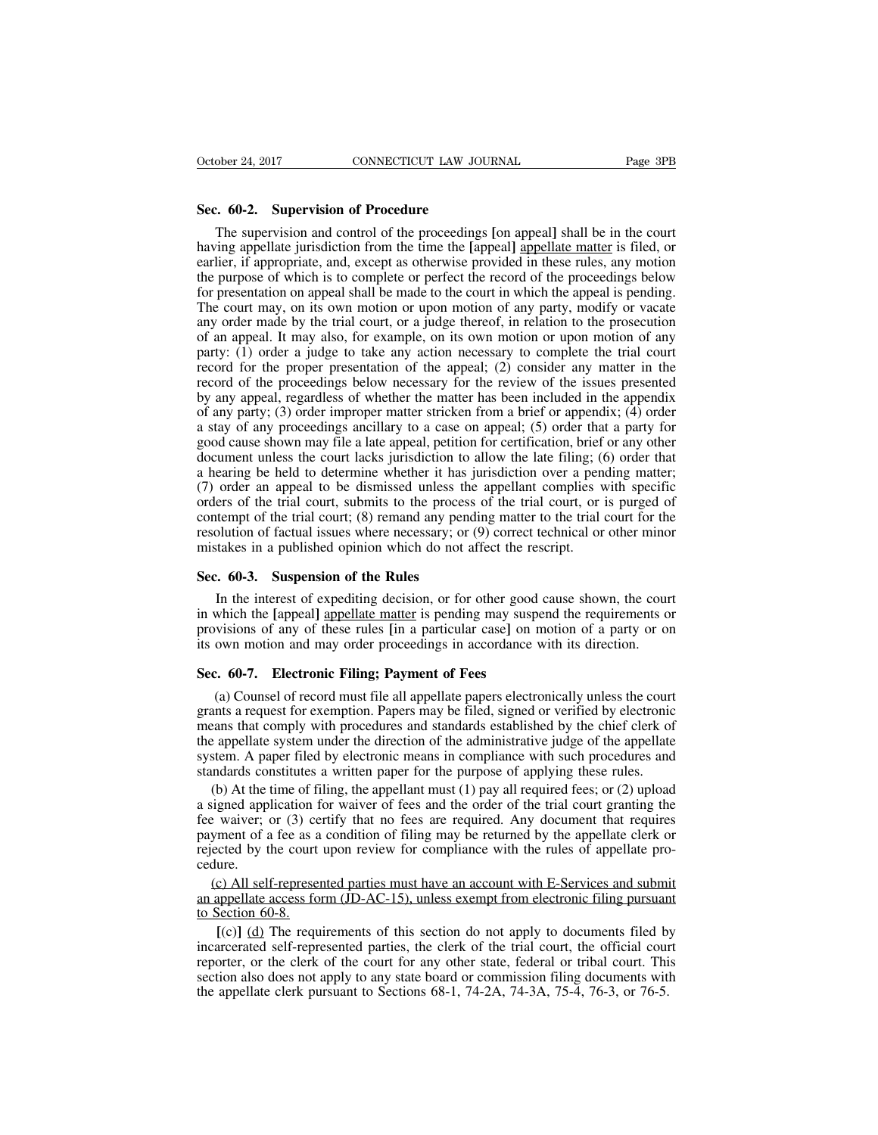October 24, 2017<br> **Sec. 60-2. Supervision of Procedure**<br>
The supervision and control of the proceedings<br>
having appellate invigibition from the time the Lan The supervision of **Procedure**<br>The supervision and control of the proceedings [on appeal] shall be in the court<br>ing appellate jurisdiction from the time the [appeal] <u>appellate matter</u> is filed, or<br>lier, if appropriate, an October 24, 2017 CONNECTICUT LAW JOURNAL Page 3PB<br> **Sec. 60-2.** Supervision of Procedure<br>
The supervision and control of the proceedings [on appeal] shall be in the court<br>
having appellate jurisdiction from the time the [a October 24, 2017 CONNECTICUT LAW JOURNAL Page 3PB<br>
Sec. 60-2. Supervision of Procedure<br>
The supervision and control of the proceedings [on appeal] shall be in the court<br>
having appellate jurisdiction from the time the [app Sec. 60-2. Supervision of Procedure<br>The supervision and control of the proceedings [on appeal] shall be in the court<br>having appellate jurisdiction from the time the [appeal] appellate matter is filed, or<br>earlier, if approp **Sec. 60-2. Supervision of Procedure**<br>The supervision and control of the proceedings [on appeal] shall be in the court<br>having appellate jurisdiction from the time the [appeal] appellate matter is filed, or<br>earlier, if appr Sec. 60-2. Supervision of Procedure<br>The supervision and control of the proceedings [on appeal] shall be in the court<br>having appellate jurisdiction from the time the [appeal] <u>appellate matter</u> is filed, or<br>earlier, if appr The supervision and control of the proceedings [on appeal] shall be in the court having appellate jurisdiction from the time the [appeal] <u>appellate matter</u> is filed, or earlier, if appropriate, and, except as otherwise pr The supervision and collude of the proceedings (on appear) shall be in the court<br>having appellate jurisdiction from the time the [appeal] appellate matter is filed, or<br>earlier, if appropriate, and, except as otherwise prov maving appenate jurisdiction from the time the tappeard appenate matter is fried, or earlier, if appropriate, and, except as otherwise provided in these rules, any motion the purpose of which is to complete or perfect the earner, in appropriate, and, except as otherwise provided in these rules, any motion<br>the purpose of which is to complete or perfect the record of the proceedings below<br>for presentation on appeal shall be made to the court In the purpose of winch is to complete of perfect the record of the proceedings below<br>for presentation on appeal shall be made to the court in which the appeal is pending.<br>The court may, on its own motion or upon motion of by presentation on appear shart oc matter to the court in which the appear is pentung.<br>The court may, on its own motion or upon motion of any party, modify or vacate<br>any order made by the trial court, or a judge thereof, i Incerting, on its own inotion of upon motion of any party, modify or vacate any order made by the trial court, or a judge thereof, in relation to the prosecution of an appeal. It may also, for example, on its own motion or any offer made by the trial court, or a judge thereor, in relation to the prosecution<br>of an appeal. It may also, for example, on its own motion or upon motion of any<br>party: (1) order a judge to take any action necessary to or an appear. It may also, for example, on its own motion or upon motion or any party: (1) order a judge to take any action necessary to complete the trial court record for the proper presentation of the appeal; (2) consid party. (1) order a judge to take any action necessary to complete the trial contractor in the record for the proceedings below necessary for the review of the issues presented by any appeal, regardless of whether the matte record for the proper presentation of the appear, (2) consider any matter in the record of the proceedings below necessary for the review of the issues presented by any appeal, regardless of whether the matter has been in (7) order an appeal to be dismissed unless the appellant complies with specific orders of the trial court; (8) remained a heappendix; (4) order a stay of any proceedings ancillary to a case on appeal; (5) order that a part by any appear, regardess or whence the matter has been included in the appendix of any party; (3) order improper matter stricken from a brief or appendix; (4) order a stay of any proceedings ancillary to a case on appeal; or any party, (3) order improper matter stricker from a orier or appendix, (4) order<br>a stay of any proceedings ancillary to a case on appeal; (5) order that a party for<br>good cause shown may file a late appeal, petition fo a stay of any proceedings anchinaly to a case on appear, (5) order that a party for good cause shown may file a late appeal, petition for certification, brief or any other document unless the court lacks jurisdiction to al good cause shown may file a fact appear, petition for ecritication, offer document unless the court lacks jurisdiction to allow the late filing; (a hearing be held to determine whether it has jurisdiction over a pen $(7)$  o a nearing be held to deternine whether it has<br>(7) order an appeal to be dismissed unless th<br>orders of the trial court, submits to the proces<br>contempt of the trial court; (8) remand any pen<br>resolution of factual issues wher ers of the trial court, submits to the process of the trial court, or is purged of<br>tempt of the trial court; (8) remand any pending matter to the trial court for the<br>olution of factual issues where necessary; or (9) correc

contempt of the trial court; (8) remand any pending matter to the trial court for the<br>resolution of factual issues where necessary; or (9) correct technical or other minor<br>mistakes in a published opinion which do not affec resolution of factual issues where necessary; or (9) correct technical or other minor<br>mistakes in a published opinion which do not affect the rescript.<br>**Sec. 60-3. Suspension of the Rules**<br>In the interest of expediting d mistakes in a published opinion which do not affect the rescript.<br> **Sec. 60-3.** Suspension of the Rules<br>
In the interest of expediting decision, or for other good cause shown, the cour<br>
in which the [appeal] appellate matt **Sec. 60-3. Suspension of the Rules**<br>
In the interest of expediting decision, or for other good<br>
in which the [appeal] <u>appellate matter</u> is pending may susp<br>
provisions of any of these rules [in a particular case] on its<br> In the interest of expediting decision, or for other good cause shown, the court<br>which the [appeal] <u>appellate matter</u> is pending may suspend the requirements or<br>visions of any of these rules [in a particular case] on moti

in which the [appeal] appellate matter is pending may suspend the requirements or<br>provisions of any of these rules [in a particular case] on motion of a party or on<br>its own motion and may order proceedings in accordance wi provisions of any of these rules [in a particular case] on motion of a party or on<br>its own motion and may order proceedings in accordance with its direction.<br>**Sec. 60-7.** Electronic Filing; Payment of Fees<br>(a) Counsel of r its own motion and may order proceedings in accordance with its direction.<br> **Sec. 60-7.** Electronic Filing; Payment of Fees<br>
(a) Counsel of record must file all appellate papers electronically unless the court<br>
grants a re Sec. 60-7. Electronic Filing; Payment of Fees<br>(a) Counsel of record must file all appellate papers electronically unless the court<br>grants a request for exemption. Papers may be filed, signed or verified by electronic<br>mean **Sec. 60-7.** Electronic Filing; Payment of Fees<br>
(a) Counsel of record must file all appellate papers electronically unless the court<br>
grants a request for exemption. Papers may be filed, signed or verified by electronic<br> (a) Counsel of record must file all appellate papers electronically unless the court<br>ants a request for exemption. Papers may be filed, signed or verified by electronic<br>eans that comply with procedures and standards estab grants a request for exemption. Papers may be filed, signed or verified by electronic means that comply with procedures and standards established by the chief clerk of the appellate system under the direction of the admini

means that comply with procedures and standards established by the chief clerk of the appellate system under the direction of the administrative judge of the appellate system. A paper filed by electronic means in complianc the appellate system under the direction of the administrative judge of the appellate system. A paper filed by electronic means in compliance with such procedures and standards constitutes a written paper for the purpose o system. A paper filed by electronic means in compliance with such procedures and standards constitutes a written paper for the purpose of applying these rules.<br>
(b) At the time of filing, the appellant must (1) pay all re cedure. (b) At the time of filing, the appellant must (1) pay all required fees; or (2) upload signed application for waiver of fees and the order of the trial court granting the exiver; or (3) certify that no fees are required. a signed application for waiver of fees and the order of the trial court granting the<br>fee waiver; or (3) certify that no fees are required. Any document that requires<br>payment of a fee as a condition of filing may be retur a signed application for waiver of fees and the order of the trial court granting the<br>fee waiver; or (3) certify that no fees are required. Any document that requires<br>payment of a fee as a condition of filing may be retur

ment of a fee as a condition of filing may be returned by the appellate clerk or coted by the court upon review for compliance with the rules of appellate pro-<br> **c**) All self-represented parties must have an account with E rejected by the court upon review for compliance with the rules of appellate pro-<br>cedure.<br>(c) All self-represented parties must have an account with E-Services and submit<br>an appellate access form (JD-AC-15), unless exempt cedure.<br>
(c) All self-represented parties must have an account with E-Services and submit<br>
an appellate access form (JD-AC-15), unless exempt from electronic filing pursuant<br>
to Section 60-8.<br>
[(c)] (d) The requirements o (c) All self-represented parties must have an account with E-Services and submit<br>an appellate access form (JD-AC-15), unless exempt from electronic filing pursuant<br>to Section 60-8.<br>[(c)] (d) The requirements of this secti an appellate access form (JD-AC-15), unless exempt from electronic filing pursuan<br>to Section 60-8.<br>[(c)] (d) The requirements of this section do not apply to documents filed b<br>incarcerated self-represented parties, the cle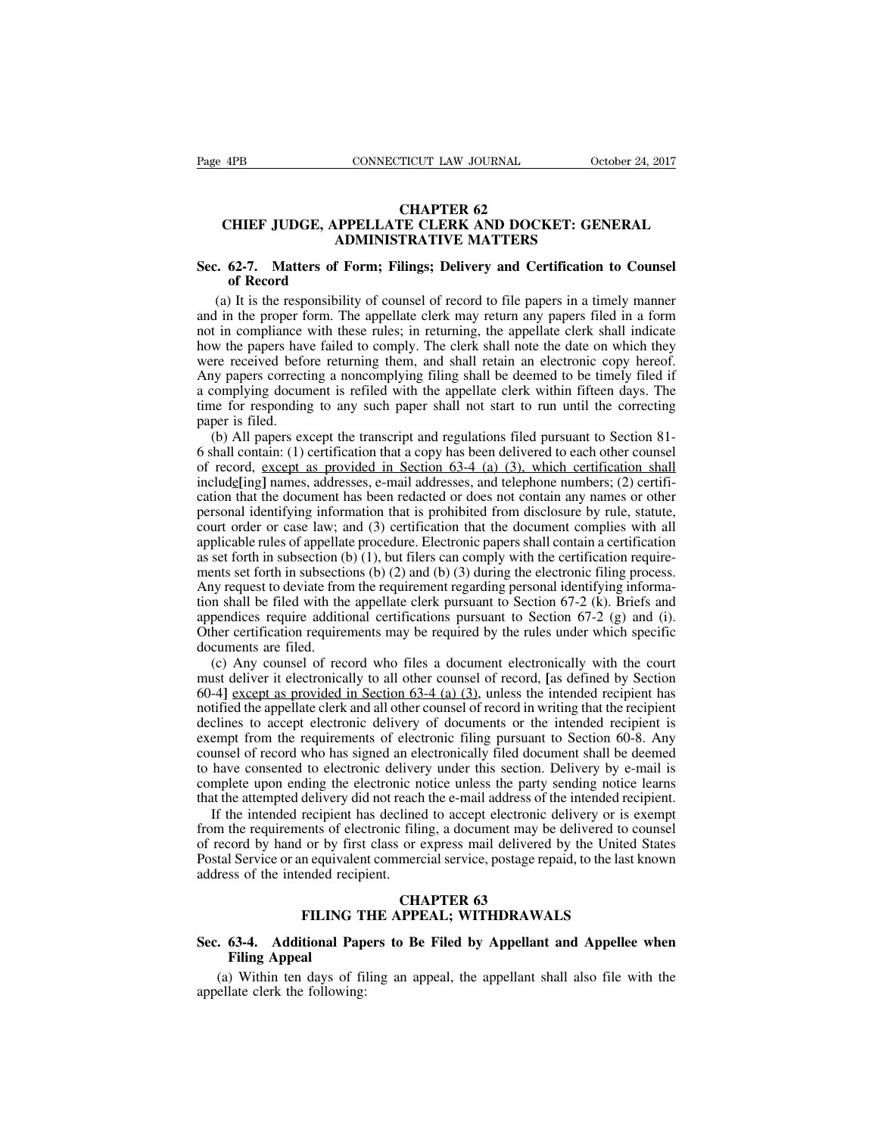## **TICUT LAW JOURNAL<br>CHAPTER 62<br>CHAPTER 62<br>TRATIVE MATTERS CHIEF JUDGE, APPELLATE CLERK AND DOCKET: GENERAL<br>
CHIEF JUDGE, APPELLATE CLERK AND DOCKET: GENERAL<br>
ADMINISTRATIVE MATTERS CONNECTICUT LAW JOURNAL CHAPTER 62**<br> **CHAPTER 62**<br> **ADMINISTRATIVE MATTERS**<br> **ADMINISTRATIVE MATTERS**<br> **F** Form; Filings; Delivery and Certification **SECRET CONNECTICUT LAW JOURNAL CHOOPE 24, 2011<br>
<b>SEC. 62-7.** Matters of Form; Filings; Delivery and Certification to Counsel<br>
of Record<br>
(a) It is the responsibility of counsel of record to file papers in a timely manner **CHIEF JUDGE, APPI<br>
ADM<br>
62-7. Matters of Form<br>
of Record**<br>
It is the responsibility<br>
in the proper form The

(B) CHIEF JUDGE, APPELLATE CLERK AND DOCKET: GENERAL<br>ADMINISTRATIVE MATTERS<br>2. 62-7. Matters of Form; Filings; Delivery and Certification to Counsel<br>of Record<br>(a) It is the responsibility of counsel of record to file paper CHIEF JUDGE, APPELLATE CLERK AND DOCKET: GENERAL<br>ADMINISTRATIVE MATTERS<br>Sec. 62-7. Matters of Form; Filings; Delivery and Certification to Counsel<br>of Record<br>(a) It is the responsibility of counsel of record to file papers not in compliance with these rules; in returning, the appellate clerk shall indicate<br>the papers of Form; Filings; Delivery and Certification to Counsel<br>of Record<br>(a) It is the responsibility of counsel of record to file pa **Sec. 62-7.** Matters of Form; Filings; Delivery and Certification to Counsel<br>of Record<br>(a) It is the responsibility of counsel of record to file papers in a timely manner<br>and in the proper form. The appellate clerk may ret Sec. 62-7. Matters of Form; Filings; Delivery and Certification to Counsel<br>of Record<br>(a) It is the responsibility of counsel of record to file papers in a timely manner<br>and in the proper form. The appellate clerk may retur of **Record**<br>(a) It is the responsibility of counsel of record to file papers in a timely manner<br>and in the proper form. The appellate clerk may return any papers filed in a form<br>not in compliance with these rules; in retur (a) It is the responsibility of counsel of record to file papers in a timely manner and in the proper form. The appellate clerk may return any papers filed in a form not in compliance with these rules; in returning, the ap (a) it is the responsionity or counser or record to the papers in a timely manner<br>and in the proper form. The appellate clerk may return any papers filed in a form<br>not in compliance with these rules; in returning, the appe and in the proper is<br>not in compliance<br>how the papers have<br>were received before<br>Any papers correction<br>a complying docum<br>time for responding<br>paper is filed.<br>(b) All papers ex<br>6 shall contain: (1) The transcript and shall note the date on which they we the papers have failed to comply. The clerk shall note the date on which they rereceived before returning them, and shall retain an electronic copy hereof.<br>Survey pa flow the papers have rancel to comply. The clerk shall note the date on which they<br>were received before returning them, and shall retain an electronic copy hereof.<br>Any papers correcting a noncomplying filing shall be deeme

were received octore retaining them, and shall retain an electronic copy incredible.<br>Any papers correcting a noncomplying filing shall be deemed to be timely filed if<br>a complying document is refiled with the appellate cle In a complying document is refiled with the appellate clerk within fifteen days. The time for responding to any such paper shall not start to run until the correcting paper is filed.<br>
(b) All papers except the transcript a cation that the document and the document and the document in the document or the correcting<br>paper is filed.<br>(b) All papers except the transcript and regulations filed pursuant to Section 81-<br>6 shall contain: (1) certifica paper is filed.<br>
(b) All papers except the transcript and regulations filed pursuant to Section 81-<br>
6 shall contain: (1) certification that a copy has been delivered to each other counsel<br>
of record, <u>except as provided </u> (b) All papers except the transcript and regulations filed pursuant to Section 81-<br>6 shall contain: (1) certification that a copy has been delivered to each other counsel<br>of record, except as provided in Section 63-4 (a) (b) An papers except the transcript and regulations fired pursuant to section of-<br>6 shall contain: (1) certification that a copy has been delivered to each other counsel<br>of record, except as provided in Section 63-4 (a) ( be share conducted in setting in Section 63-4 (a) (3), which certification shall include [ing] names, addresses, e-mail addresses, and telephone numbers; (2) certification that the document has been redacted or does not c include in section of  $S^2$ , which centrication shall include ingluences, and the document has been redacted or does not contain any names or other personal identifying information that is prohibited from disclosure by ru methog ingly names, and esses, e-inan addresses, and deephone numbers, (2) certification that the document has been redacted or does not contain any names or other personal identifying information that is prohibited from cation that the document has been retacted or does not contain any names or other<br>personal identifying information that is prohibited from disclosure by rule, statute,<br>court order or case law; and (3) certification that t personal identifying information that is promoted from disclosure by fulc, statue, court order or case law; and (3) certification that the document complies with all applicable rules of appellate procedure. Electronic pap court of detail of case haw, and (3) ecrimication that the document complies with an applicable rules of appellate procedure. Electronic papers shall contain a certification as set forth in subsection (b) (1), but filers applicable rules of appellate procedure. Electronic papers shall contain a certification<br>as set forth in subsection (b) (1), but filers can comply with the certification require-<br>ments set forth in subsections (b) (2) and Set form in subsection (b) (1), out filed and comply with the econometric entity set for the in subsections (b) (2) and (b) (3) during the electronic filing process.<br>Suy request to deviate from the requirement regarding p ments set form in subsections ( $\sigma$ ) ( $\sigma$ ) and ( $\sigma$ ) ( $\sigma$ ) during the electronic rimig process.<br>Any request to deviate from the requirement regarding personal identifying informa-<br>tion shall be filed with the appellate

Finy request to deviate from the requirement regarding personal identitying information shall be filed with the appellate clerk pursuant to Section 67-2 (g) and (i). Other certification requirements may be required by the not shall be the while appendic clerk pursuant to Section 07 2 (x). Breiss and appendices require additional certifications pursuant to Section 67-2 (g) and (i). Other certification requirements may be required by the rul dependences require additional extinctations parsuant to section  $0.7-2$  (g) and (i).<br>Other certification requirements may be required by the rules under which specific<br>documents are filed.<br>(c) Any counsel of record who f but contributed by the requirements of equivalent of the required by the rates under which specified documents are filed.<br>
(c) Any counsel of record who files a document electronically with the court must deliver it elect (c) Any counsel of record who files a document electronically with the court must deliver it electronically to all other counsel of record, [as defined by Section 60-4] <u>except as provided in Section 63-4 (a) (3)</u>, unless (c) Any counser of record who files a document electronically with the contributed must deliver it electronically to all other counsel of record, [as defined by Section 60-4] <u>except as provided in Section 63-4 (a) (3)</u>, must deriver it electronically to an office connser of record, [as derified by section 60-4] <u>except as provided in Section 63-4 (a) (3)</u>, unless the intended recipient has notified the appellate clerk and all other couns for a section of the attempted in Section of the attempt of record in writing that the recipient declines to accept electronic delivery of documents or the intended recipient is exempt from the requirements of electronic f If the intended recipient and an other counser of record in writing that the recipient is<br>empt from the requirements of electronic filing pursuant to Section 60-8. Any<br>unsel of record who has signed an electronically filed decrimes to accept electronic derivery of documents of the intended recipient is<br>exempt from the requirements of electronic filing pursuant to Section 60-8. Any<br>counsel of record who has signed an electronically filed docu

example from the requirements or exercising filled document shall be deemed<br>to have consented to electronic delivery under this section. Delivery by e-mail is<br>complete upon ending the electronic notice unless the party sen For the service or an equivalent commercial service, postage repaid, to the last known address of the intended recipient. If the intended recipient has declined to accept electronic delivery or is exempt from the requireme and the intended recipient and the intended recipient that the attempted delivery did not reach if the intended recipient has declineed from the requirements of electronic filli of record by hand or by first class or  $\alpha$  each the e-mail address of t<br>lined to accept electronic<br>c filing, a document may be<br>or express mail delivered<br>mercial service, postage rep<br>**CHAPTER 63**<br>**CHAPTER 63 FILT FREQUELE THEORY IS CONSIDENT AS A CONSIDENT ASSEM** CONDUCTOR THE APPEAL; **FILING THE APPEAL; WITHDRAWALS**<br>**FILING THE APPEAL; WITHDRAWALS**<br>**FILING THE APPEAL; WITHDRAWALS** of record by hand or by first class or express mail delivered by the United States<br>
Postal Service or an equivalent commercial service, postage repaid, to the last known<br>
address of the intended recipient.<br> **Sec. 63-4.** Ad **Filt Service or an equivantlent**<br> **FILING**<br> **FILING**<br> **Filing Appeal**<br> **Piling Appeal**<br> **Piling Appeal**<br> **Piling Appeal** 

(a) Within ten days of filing an appeal, the appellant shall also file with the ellate clerk the following: **FILING T**<br>**Sec. 63-4. Additional Papellate Clerk the following:**<br>**Appeal** (a) Within ten days of fill<br>appellate clerk the following: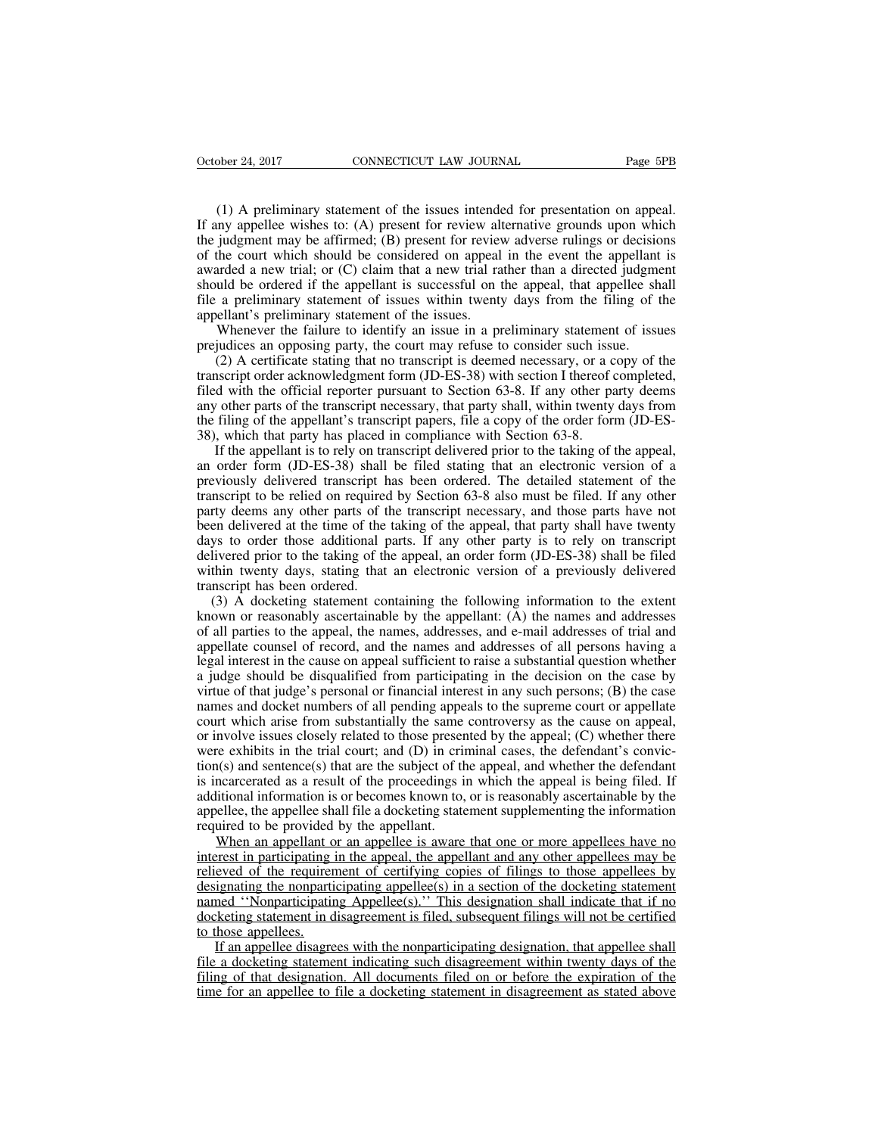(1) A preliminary statement of the issues intended for presentation on appeal.<br>
(1) A preliminary statement of the issues intended for presentation on appeal.<br>
(1) a preliminary statement of the issues intended for present October 24, 2017 CONNECTICUT LAW JOURNAL Page 5PB<br>
(1) A preliminary statement of the issues intended for presentation on appeal.<br>
If any appellee wishes to: (A) present for review alternative grounds upon which<br>
the judgm October 24, 2017 CONNECTICUT LAW JOURNAL Page 5PB<br>
(1) A preliminary statement of the issues intended for presentation on appeal.<br>
If any appellee wishes to: (A) present for review alternative grounds upon which<br>
the judgm October 24, 2017 CONNECTICUT LAW JOURNAL Page 5PB<br>
(1) A preliminary statement of the issues intended for presentation on appeal.<br>
If any appellee wishes to: (A) present for review alternative grounds upon which<br>
the judgm (1) A preliminary statement of the issues intended for presentation on appeal.<br>If any appellee wishes to: (A) present for review alternative grounds upon which<br>the judgment may be affirmed; (B) present for review adverse (1) A preliminary statement of the issues intended for presentation on appeal.<br>If any appellee wishes to: (A) present for review alternative grounds upon which<br>the judgment may be affirmed; (B) present for review adverse (1) A preliminary statement of the issues intended for presentation on appeal.<br>If any appellee wishes to: (A) present for review alternative grounds upon which<br>the judgment may be affirmed; (B) present for review adverse (1) A preliminary statement of the issues intended if any appellee wishes to: (A) present for review alt<br>the judgment may be affirmed; (B) present for review<br>of the court which should be considered on appeal<br>awarded a new ing appence wishes to. (A) present for teview antentiative grounds upon which<br>judgment may be affirmed; (B) present for review adverse rulings or decisions<br>the court which should be considered on appeal in the event the ap increase to an opposing be an out-<br>of the court which should be considered on appeal in the event the appellant<br>awarded a new trial; or (C) claim that a new trial rather than a directed judgme<br>should be ordered if the appe Incourt wind if should be considered on appear in the event the appenant is<br>arded a new trial; or (C) claim that a new trial rather than a directed judgment<br>uld be ordered if the appellant is successful on the appeal, that

awardca a new trian, or (c) claim that a new trian rather than a directed judgment should be ordered if the appellant is successful on the appeal, that appellee shall file a preliminary statement of issues within twenty da file a preliminary statement of issues within twenty days from the filing of the appellant's preliminary statement of the issues.<br>Whenever the failure to identify an issue in a preliminary statement of issues prejudices an any statement of issues whill twenty days from the filling of the appellant's preliminary statement of the issues.<br>Whenever the failure to identify an issue in a preliminary statement of issues prejudices an opposing party The filim appearance of the appearance of the appearance of issues.<br>
Whenever the failure to identify an issue in a preliminary statement of issues<br>
regiudices an opposing party, the court may refuse to consider such issue whenever the rantic to identity an issue in a premininaly statement<br>prejudices an opposing party, the court may refuse to consider such issue.<br>(2) A certificate stating that no transcript is deemed necessary, or a c<br>transc (2) A certificate stating that no transcript is deemed necessary, or a copy of the inscript order acknowledgment form (JD-ES-38) with section I thereof completed, d with the official reporter pursuant to Section 63-8. If a ( $2$ ) A certificate stating that no transcript is decined necessary, or a copy of the transcript order acknowledgment form (JD-ES-38) with section I thereof completed, filed with the official reporter pursuant to Section

ranscript of delivered rensient form (3D-E5-56) with section I incredit completed, filed with the official reporter pursuant to Section 63-8. If any other party deems any other parts of the transcript necessary, that party the with the official reporter pursuant to section 63-6. If any other party decision any other parts of the transcript necessary, that party shall, within twenty days from the filing of the appellant's transcript papers, f any other parts of the transcript necessary, that party shart, whilm twenty days from<br>the filing of the appellant's transcript papers, file a copy of the order form (JD-ES-<br>38), which that party has placed in compliance wi been delivered at the time of the taking of the appeal, an order form (JD-E3-38), which that party has placed in compliance with Section 63-8.<br>If the appellant is to rely on transcript delivered prior to the taking of the 36), which that party has placted in compinance while section 03-6.<br>If the appellant is to rely on transcript delivered prior to the taking of the appeal,<br>an order form (JD-ES-38) shall be filed stating that an electronic It are appenant is to try on transcript denverted prior to the taking of the appear, an order form (JD-ES-38) shall be filed stating that an electronic version of a previously delivered transcript has been ordered. The det an order form (3D-E5-56) shall be field stating that an electronic version of a<br>previously delivered transcript has been ordered. The detailed statement of the<br>transcript to be relied on required by Section 63-8 also must provided and the ranscript in<br>transcript to be relied on required<br>party deems any other parts of ti<br>been delivered at the time of the<br>days to order those additional p<br>delivered prior to the taking of th<br>within twenty days, (3) A docketing statement containing the following information to the extent<br>approximate appears of the transcript necessary, and those parts have not<br>en delivered at the time of the taking of the appeal, that party shall party decins any office parts of the transcript inceessary, and those parts have not<br>been delivered at the time of the taking of the appeal, that party shall have twenty<br>days to order those additional parts. If any other p

of all parties to the taking of the appear, that party share have twenty days to order those additional parts. If any other party is to rely on transcript delivered prior to the taking of the appeal, an order form (JD-ES-3 appellate ounsel additional patis. It any other party is to rely on transcript delivered prior to the taking of the appeal, an order form (JD-ES-38) shall be filed within twenty days, stating that an electronic version of denvered prior to the taking of the appear, an otder form (3D-E5-56) shan be fried<br>within twenty days, stating that an electronic version of a previously delivered<br>transcript has been ordered.<br>(3) A docketing statement con whilm twenty days, stating that an electronic version of a previously derivered<br>transcript has been ordered.<br>(3) A docketing statement containing the following information to the extent<br>known or reasonably ascertainable by (3) A docketing statement containing the following information to the extent known or reasonably ascertainable by the appellant: (A) the names and addresses of all parties to the appeal, the names, addresses, and e-mail a (3) A docketing statement containing the following information to the extent<br>known or reasonably ascertainable by the appellant: (A) the names and addresses<br>of all parties to the appeal, the names, addresses, and e-mail a Example 1 arises for the appeal, the names, addresses, and e-mail addresses of trial and appellate counsel of record, and the names and addresses of all persons having a legal interest in the cause on appeal sufficient to or an parties to the appear, the names, addresses, and e-man addresses or that and appellate counsel of record, and the names and addresses of all persons having a legal interest in the cause on appeal sufficient to raise appendic counser of record, and the names and addresses of an persons having a legal interest in the cause on appeal sufficient to raise a substantial question whether a judge should be disqualified from participating in t the subject of the substantial proceedings in the substantial difference as by virtue of that judge's personal or financial interest in any such persons; (B) the case by virtue of that judge's personal or financial interes a judge should be disqualified from participating in the decision of the case by<br>virtue of that judge's personal or financial interest in any such persons; (B) the case<br>names and docket numbers of all pending appeals to th Figure 3 and docket numbers of all pending appeals to the supreme court or appellate court which arise from substantially the same controversy as the cause on appeal, or involve issues closely related to those presented b hall file a docket in the statement supplement of appenant court which arise from substantially the same controversy as the cause on appeal, or involve issues closely related to those presented by the appeal; (C) whether t From substantially the same<br>or involve issues closely related to those presen<br>were exhibits in the trial court; and (D) in crition<br>(s) and sentence(s) that are the subject of th<br>is incarcerated as a result of the proceedin Howeve issues ensery related to those presented by the appear, (e) whether there e exhibits in the trial court; and (D) in criminal cases, the defendant's convic-<br>((s) and sentence(s) that are the subject of the appeal, a were eximples in the trial court, and ( $D$ ) in eriminal cases, the detendant s conviction(s) and sentence(s) that are the subject of the appeal, and whether the defendant is incarcerated as a result of the proceedings in

relieved of the requirement of certifying copies of filings to those appellees that if no<br>diditional information is or becomes known to, or is reasonably ascertainable by the<br>appellee, the appellee shall file a docketing s is incarctracta as a result of the proceedings in winen the appear is being inct. In additional information is or becomes known to, or is reasonably ascertainable by the appellee, the appellee shall file a docketing statem national information is of occomes known to, or is reasonably ascertainable by the appellee, the appellee shall file a docketing statement supplementing the information required to be provided by the appellant.<br>
When an ap docketing statement in disagreement is filed, subsequent filings will not be appelled to the provided by the appellant.<br>
When an appellant or an appellee is aware that one or more appellees have no<br>
interest in participati When an appellant of<br>
When an appellant of<br>
interest in participating<br>
relieved of the requirer<br>
designating the nonparticipatin<br>
manned "Nonparticipating<br>
docketing statement in d<br>
to those appellees.<br>
If an appellee disa When an appendant of an appender is aware that one of more appenders nave no<br>erest in participating in the appeal, the appellant and any other appellees may be<br>eved of the requirement of certifying copies of filings to tho file a docketing statement of certifying copies of filings to those appelless by designating the nonparticipating appellee(s) in a section of the docketing statement named "Nonparticipating Appellee(s)." This designation s filing of that designation. All documents filed on or before the docketing statement<br>named "Nonparticipating Appellee(s)." This designation shall indicate that if no<br>docketing statement in disagreement is filed, subsequent

designating the nonparticipating appences) in a section of the docketing statement<br>named "Nonparticipating Appellee(s)." This designation shall indicate that if no<br>docketing statement in disagreement is filed, subsequent f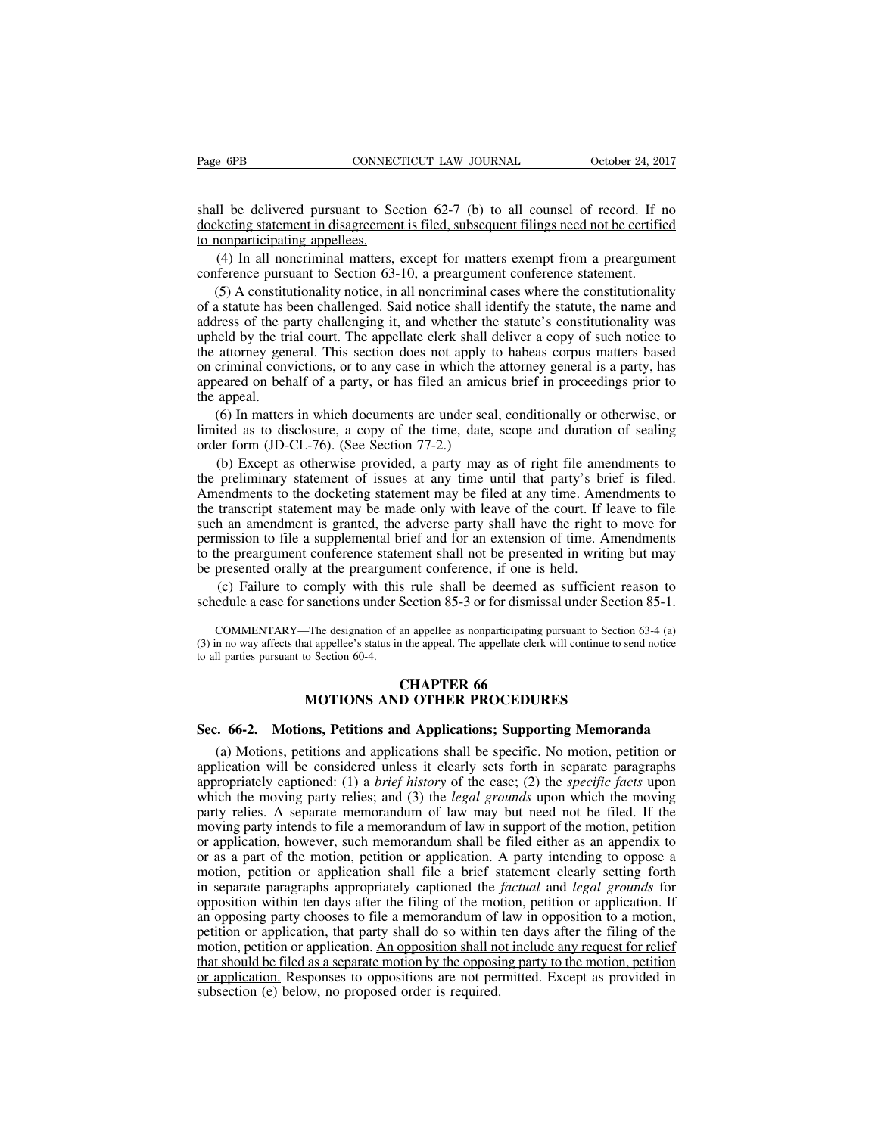Page 6PB<br>
CONNECTICUT LAW JOURNAL<br>
Shall be delivered pursuant to Section 62-7 (b) to all counsel of record. If no<br>
docketing statement in disagreement is filed, subsequent filings need not be certified<br>
to nonparticipatin Page 6PB CONNECTICUT LAW JOURNAL October 24, 2017<br>
Shall be delivered pursuant to Section 62-7 (b) to all counsel of record. If no<br>
docketing statement in disagreement is filed, subsequent filings need not be certified<br>
to Page 6PB<br>
shall be delivered pursuant to Se<br>
docketing statement in disagreement<br>
to nonparticipating appellees.<br>
(4) In all noncriminal matters,<br>
conference pursuant to Section 63-(4) In all noncriminal matters, except for matters exempt from a preargument (5) A constitutionality notice, in all noncriminal cases where the constitutionality of A constitutionality notice, in all noncriminal cases whe Shall be delivered pursuant to Section 62-7 (b) to all counsel of record. If n<br>docketing statement in disagreement is filed, subsequent filings need not be certifie<br>to nonparticipating appellees.<br>(4) In all noncriminal mat

Ill be delivered pursuant to Section 62-7 (b) to all counsel of record. If no<br>keting statement in disagreement is filed, subsequent filings need not be certified<br>nonparticipating appellees.<br>(4) In all noncriminal matters, shall be delivered pursuant to Section 62-7 (b) to all counsel of record. If no<br>docketing statement in disagreement is filed, subsequent filings need not be certified<br>to nonparticipating appellees.<br>(4) In all noncriminal m docketing statement in disagreement is filed, subsequent filings need not be certified<br>to nonparticipating appellees.<br>(4) In all noncriminal matters, except for matters exempt from a preargument<br>conference pursuant to Sect to nonparticipating appellees.<br>
(4) In all noncriminal matters, except for matters exempt from a preargument<br>
conference pursuant to Section 63-10, a preargument conference statement.<br>
(5) A constitutionality notice, in al (4) In all noncriminal matters, except for matters exempt from a preargument conference pursuant to Section 63-10, a preargument conference statement.<br>
(5) A constitutionality notice, in all noncriminal cases where the co conference pursuant to Section 63-10, a preargument conference statement.<br>
(5) A constitutionality notice, in all noncriminal cases where the constitutionality<br>
of a statute has been challenged. Said notice shall identify (5) A constitutionality notice, in all noncriminal cases where the constitutionality of a statute has been challenged. Said notice shall identify the statute, the name and address of the party challenging it, and whether  $(3)$  A constructed constant of a statute has b address of the pupheld by the tri-<br>upheld by the tri-<br>the attorney genon criminal convappeared on beh-<br>the appeal.<br>(6) In matters limited as to dis-Iress of the party challenging it, and whether the statute's constitutionality was<br>eld by the trial court. The appellate clerk shall deliver a copy of such notice to<br>attorney general. This section does not apply to habeas upheld by the trial court. The appellate clerk shall deliver a copy of such notice to<br>the attorney general. This section does not apply to habeas corpus matters based<br>on criminal convictions, or to any case in which the at the attorney general. This section does not apply to on criminal convictions, or to any case in which the appeared on behalf of a party, or has filed an amic the appeal.<br>(6) In matters in which documents are under sea limi criminal convictions, or to any case in which the attorney general is a party, has<br>eared on behalf of a party, or has filed an amicus brief in proceedings prior to<br>appeal.<br>(6) In matters in which documents are under seal,

appeared on behalf of a party, or has filed an amicus brief in proceedings prior to<br>the appeal.<br>(6) In matters in which documents are under seal, conditionally or otherwise, or<br>limited as to disclosure, a copy of the time, the appeal.<br>
(6) In matters in which documents are under seal, conditionally or otherwise, or<br>
limited as to disclosure, a copy of the time, date, scope and duration of sealing<br>
order form (JD-CL-76). (See Section 77-2.)<br> (6) In matters in which documents are under seal, conditionally or otherwise, or limited as to disclosure, a copy of the time, date, scope and duration of sealing order form (JD-CL-76). (See Section 77-2.) (b) Except as o limited as to disclosure, a copy of the time, date, scope and duration of sealing<br>order form (JD-CL-76). (See Section 77-2.)<br>(b) Except as otherwise provided, a party may as of right file amendments to<br>the preliminary stat permission (JD-CL-76). (See Section 77-2.)<br>
(b) Except as otherwise provided, a party may as of right file amendments to<br>
the preliminary statement of issues at any time until that party's brief is filed.<br>
Amendments to th (b) Except as otherwise provided, a party may as of right file amendments to the preliminary statement of issues at any time until that party's brief is filed. Amendments to the docketing statement may be filed at any time (b) Except as otherwise provided, a party hlay as of right ince and<br>the preliminary statement of issues at any time until that party's bri<br>Amendments to the docketing statement may be filed at any time. Ame<br>the transcript endments to the docketing statement may be filed at any time. Amendments to transcript statement may be made only with leave of the court. If leave to file h an amendment is granted, the adverse party shall have the right the transcript statement may be made only with leave of the court. If leave to file<br>such an amendment is granted, the adverse party shall have the right to move for<br>permission to file a supplemental brief and for an extens

the preargument conference statement shall not be presented in writing but may<br>presented orally at the preargument conference, if one is held.<br>(c) Failure to comply with this rule shall be deemed as sufficient reason to<br>ed be presented orally at the preargument conference, if one is held.<br>
(c) Failure to comply with this rule shall be deemed as sufficient reason to schedule a case for sanctions under Section 85-3 or for dismissal under Secti be presented orally at the preargument conference, if one is held.<br>
(c) Failure to comply with this rule shall be deemed as sufficient reason to schedule a case for sanctions under Section 85-3 or for dismissal under Sect Solution 85-3 or for dismissed as<br>
Section 85-3 or for dismissed<br>
In the appelle as nonparticipating p<br>
In the appell. The appellate clerk<br>
CHAPTER 66<br>
D OTHER PROCEDUR sanctions under Section 85-3 or for dismissal under Section<br>
The designation of an appellee as nonparticipating pursuant to Section<br>
at appellee's status in the appeal. The appellate clerk will continue to sen<br>
o Section 6 COMMENTARY—The designation of an appellee as nonparticipating pursuant to Section 63-4 (a)<br>
(3) in no way affects that appellee's status in the appeal. The appellate clerk will continue to send notice<br>
to all parties pursu

(a) Motions, petitions and Applications; Supporting Memoranda (a) Motions, petitions and Applications; Supporting Memoranda (a) Motions, petitions and applications shall be specific. No motion, petition or plication will b **EHAPTER 66**<br> **APPLICALLA BEOCEDURES**<br> **Sec. 66-2.** Motions, Petitions and Applications; Supporting Memoranda<br>
(a) Motions, petitions and applications shall be specific. No motion, petition or<br>
application will be consider **EXECT CHAPTER 66**<br>**EXECT MOTIONS AND OTHER PROCEDURES**<br>**Sec. 66-2. Motions, Petitions and Applications; Supporting Memoranda**<br>(a) Motions, petitions and applications shall be specific. No motion, petition or<br>application **MOTIONS AND OTHER PROCEDURES**<br>**Sec. 66-2. Motions, Petitions and Applications; Supporting Memoranda**<br>(a) Motions, petitions and applications shall be specific. No motion, petition or<br>application will be considered unless Sec. 66-2. Motions, Petitions and Applications; Supporting Memoranda<br>(a) Motions, petitions and applications shall be specific. No motion, petition or<br>application will be considered unless it clearly sets forth in separate **Sec. 66-2. Motions, Petitions and Applications; Supporting Memoranda** (a) Motions, petitions and applications shall be specific. No motion, petition or application will be considered unless it clearly sets forth in separ (a) Motions, petitions and applications shall be specific. No motion, petition or application will be considered unless it clearly sets forth in separate paragraphs appropriately captioned: (1) a *brief history* of the ca (a) Motions, petitions and applications sinal be specific. No induoti, petition or application will be considered unless it clearly sets forth in separate paragraphs appropriately captioned: (1) a *brief history* of the c appropriately captioned: (1) a *brief history* of the case; (2) the *specific facts* upon which the moving party relies; and (3) the *legal grounds* upon which the moving party relies; and (3) the *legal grounds* upon whic appropriately captioned. (1) a *orief nisiory* of the case, (2) the *specyic jacis* upon<br>which the moving party relies; and (3) the *legal grounds* upon which the moving<br>party relies. A separate memorandum of law may but n winch the moving party relies, and (3) the *legal grounds* upon winch the moving<br>party relies. A separate memorandum of law may but need not be filed. If the<br>moving party intends to file a memorandum of law in support of party renes. A separate inemotantum of law may but need not be fired. If the moving party intends to file a memorandum of law in support of the motion, petition or application, however, such memorandum shall be filed eithe moving party intents to fite a included in the amery support of the motion, petition<br>or application, however, such memorandum shall be filed either as an appendix to<br>or as a part of the motion, petition or application. A p or application, however, such included in shall of the clinical as an appendix to<br>or as a part of the motion, petition or application. A party intending to oppose a<br>motion, petition or application shall file a brief statem or as a part of the motion, petition or application. A party intending to oppose a motion, petition or application shall file a brief statement clearly setting forth in separate paragraphs appropriately captioned the *fact* inotion, petition or application sitan file a offer statement clearly setting form<br>in separate paragraphs appropriately captioned the *factual* and *legal grounds* for<br>opposition within ten days after the filing of the mot in separate paragraphs appropriately captioned the *factual* and *legal grounds* for opposition within ten days after the filing of the motion, petition or application. If an opposing party chooses to file a memorandum of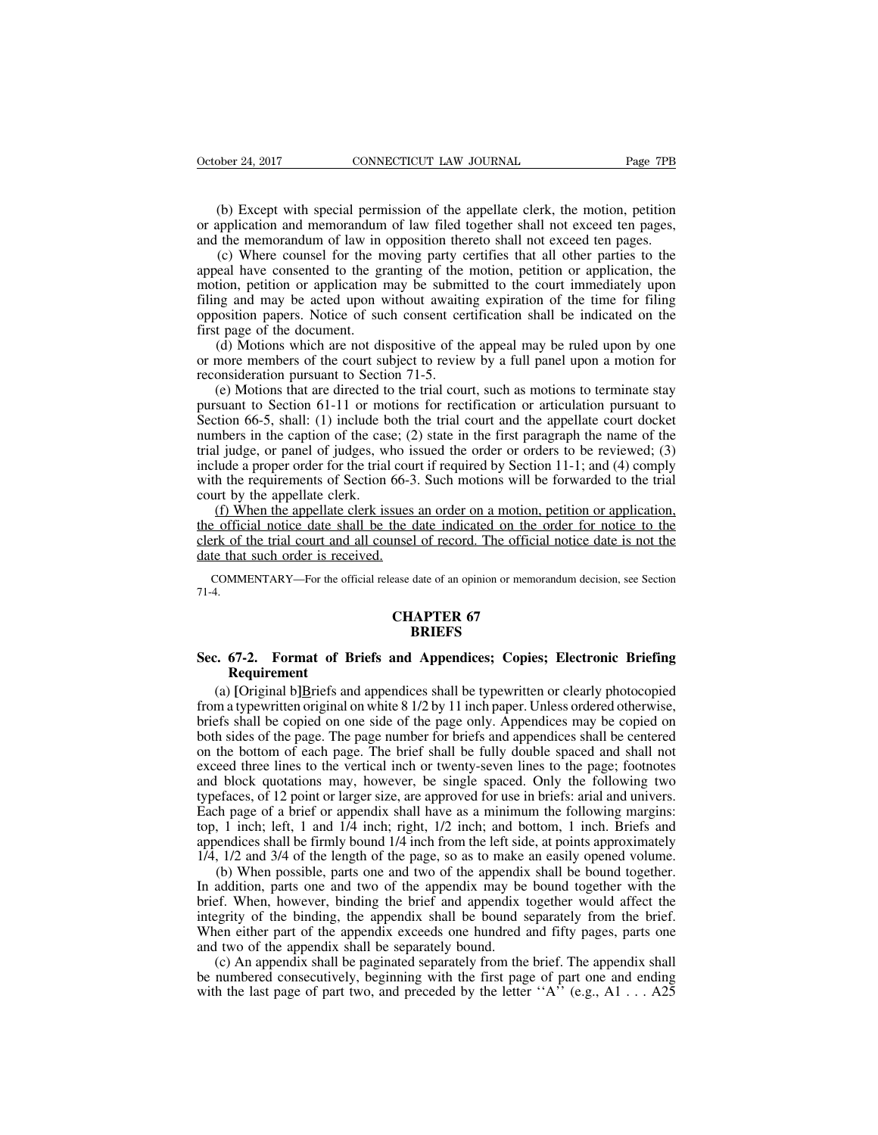(b) Except with special permission of the appellate clerk, the motion, petition application and memorandum of law filed together shall not exceed ten pages, the memorandum of law in opposition thereto shall not exceed ten October 24, 2017 CONNECTICUT LAW JOURNAL Page 7PB<br>
(b) Except with special permission of the appellate clerk, the motion, petition<br>
or application and memorandum of law filed together shall not exceed ten pages,<br>
(c) Where CONNECTICUT LAW JOURNAL Page 7PB<br>
(b) Except with special permission of the appellate clerk, the motion, petition<br>
or application and memorandum of law filed together shall not exceed ten pages,<br>
and the memorandum of law

(b) Except with special permission of the appellate clerk, the motion, petition application and memorandum of law filed together shall not exceed ten pages, the memorandum of law in opposition thereto shall not exceed ten (b) Except with special permission of the appellate clerk, the motion, petition or application and memorandum of law filed together shall not exceed ten pages, and the memorandum of law in opposition thereto shall not exce (b) Except with special permission of the appellate clerk, the motion, petition or application and memorandum of law filed together shall not exceed ten pages, and the memorandum of law in opposition thereto shall not exce (b) Except with special permission of the appellate clerk, the motion, petition or application and memorandum of law filed together shall not exceed ten pages, and the memorandum of law in opposition thereto shall not exce (b) Except what spectal perimssion of the appenate clerk, the motion, petition<br>or application and memorandum of law filed together shall not exceed ten pages,<br>and the memorandum of law in opposition thereto shall not excee or approached and included<br>and the memorandum of law in<br>(c) Where counsel for the m<br>appeal have consented to the gr<br>motion, petition or application r<br>filing and may be acted upon v<br>opposition papers. Notice of sue<br>first pa (c) Where counsel for the moving party certifies that all other parties to the eal have consented to the granting of the motion, petition or application, the tion, petition or application may be submitted to the court imme (c) where counser for the moving party ecrimes that an other parties to the appeal have consented to the granting of the motion, petition or application, the motion, petition or application may be submitted to the court i motion, petition or application may be submitted to the court immediately upon<br>filing and may be acted upon without awaiting expiration of the time for filing<br>opposition papers. Notice of such consent certification shall b (e) Motions that are directed to the trial court and the appellate court in the trial cosition papers. Notice of such consent certification shall be indicated on the trage of the document.<br>(d) Motions which are not disposi

ming and may be acted upon whilout awanting expiration of the time for filing<br>opposition papers. Notice of such consent certification shall be indicated on the<br>first page of the document.<br>(d) Motions which are not disposi first page of the document.<br>
(d) Motions which are not dispositive of the appeal may be ruled upon by one<br>
or more members of the court subject to review by a full panel upon a motion for<br>
reconsideration pursuant to Secti Inst page of the document.<br>
(d) Motions which are not dispositive of the appeal may be ruled upon by one<br>
or more members of the court subject to review by a full panel upon a motion for<br>
reconsideration pursuant to Secti (a) Motions which are not uspositive of the appear may be fulct upon by one<br>or more members of the court subject to review by a full panel upon a motion for<br>reconsideration pursuant to Section 71-5.<br>(e) Motions that are d from the method of the trial court stuplet to tevic w by a fun panel upon a motion for<br>reconsideration pursuant to Section 71-5.<br>(e) Motions that are directed to the trial court, such as motions to terminate stay<br>pursuant (e) Motions that are directed to the trial court, such as motions to terminate stay pursuant to Section 61-11 or motions for rectification or articulation pursuant to Section 66-5, shall: (1) include both the trial court Section 66-5, shall: (1) include both the trial court and the appellate court docket<br>numbers in the caption of the case; (2) state in the first paragraph the name of the<br>trial judge, or panel of judges, who issued the ord Suant to Section 01-11 of motions for recurreduor of anticulation pursuant to<br>tion 66-5, shall: (1) include both the trial court and the appellate court docket<br>mbers in the caption of the case; (2) state in the first para section 60-5, shall. (1) include both the trial court and the appendate court does<br>trial judge, or panel of judges, who issued the order or orders to be reviewed; (3)<br>include a proper order for the trial court if required manoers in the caption of the case, ( $z$ ) state in the first paragraph the name of the<br>trial judge, or panel of judges, who issued the order or orders to be reviewed; (3)<br>include a proper order for the trial court if requ

data judge, or panci or judges, who is<br>include a proper order for the trial cou<br>with the requirements of Section 66-3<br>court by the appellate clerk.<br>(f) When the appellate clerk issues<br>the official notice date shall be the (f) When the appellate clerk issues an order on a motion, petition or application, the official notice date shall be the date indicated on the order for notice to the clerk of the trial court and all counsel of record. Th the date indicated on the date indicated on the date indicated on the discrete of record. The official<br>ease date of an opinion or memor<br>**CHAPTER 67**<br>**CHAPTER 67** 

71-4.

### **BRIEFS**

## date that such order is received.<br>
COMMENTARY—For the official release date of an opinion or memorandum decision, see Section<br>
71-4.<br> **Sec. 67-2. Format of Briefs and Appendices; Copies; Electronic Briefing<br>
Requirement**<br> **Requirement**

(a) **EXECUTE CORPTER 67**<br> **EXECUTE CORPTER 67**<br> **EXECUTE CORPTER 67**<br> **EXECUTE CORPTER 67**<br> **EXECUTE CORPTER 67**<br> **EXECUTE CORPTER 67**<br> **EXECUTE CORPTER 67**<br> **EXECUTE CORPTER 67**<br> **OPENDIE CORPTER 67**<br> **OPENDIE CORPTER 67 FRIET CONDETTER 67**<br>**EXECUTE: Sec. 67-2.** Format of Briefs and Appendices; Copies; Electronic Briefing<br>Requirement<br>(a) [Original b]Briefs and appendices shall be typewritten or clearly photocopied<br>from a typewritten ori **BRIEFS**<br> **BRIEFS**<br> **BRIEFS**<br> **Requirement**<br>
(a) [Original b]Briefs and appendices shall be typewritten or clearly photocopied<br>
from a typewritten original on white 8 1/2 by 11 inch paper. Unless ordered otherwise,<br>
briefs BRIEFS<br>
Sec. 67-2. Format of Briefs and Appendices; Copies; Electronic Briefing<br>
Requirement<br>
(a) [Original b]Briefs and appendices shall be typewritten or clearly photocopied<br>
from a typewritten original on white 8 1/2 by **Sec. 67-2. Format of Briefs and Appendices; Copies; Electronic Briefing Requirement**<br>
(a) [Original b]Briefs and appendices shall be typewritten or clearly photocopied<br>
from a typewritten original on white  $8\frac{1}{2}$  by **Requirement**<br>
(a) [Original b]Briefs and appendices shall be typewritten or clearly photocopied<br>
from a typewritten original on white 8 1/2 by 11 inch paper. Unless ordered otherwise,<br>
briefs shall be copied on one side (a) [Original b]Briefs and appendices shall be typewritten or clearly photocopied from a typewritten original on white  $8\frac{1}{2}$  by 11 inch paper. Unless ordered otherwise, briefs shall be copied on one side of the page (a) [Original orgits] and appendices shall be type written or elearly photocopical<br>from a typewritten original on white  $81/2$  by 11 inch paper. Unless ordered otherwise,<br>briefs shall be copied on one side of the page onl From a type whiten original on white 6 1/2 by 11 hield paper. Omess ordered onler wise, briefs shall be copied on one side of the page only. Appendices may be copied on both sides of the page. The page number for briefs an both sides of the page. The page mumber for briefs and appendices shall be centered on the bottom of each page. The brief shall be fully double spaced and shall not exceed three lines to the vertical inch or twenty-seven l bout slats of the page. The page humber for offers and appendices shall be centered<br>on the bottom of each page. The brief shall be fully double spaced and shall not<br>exceed three lines to the vertical inch or twenty-seven l on the bottom of each page. The offer shall be fully double spaced and shall not exceed three lines to the vertical inch or twenty-seven lines to the page; footnotes and block quotations may, however, be single spaced. Onl Let the mess to the vertical ment of twenty-seven mies to the page, roomotes<br>
1 block quotations may, however, be single spaced. Only the following two<br>
efaces, of 12 point or larger size, are approved for use in briefs: a and block quotations may, nowever, be single spaced. Only the following two<br>typefaces, of 12 point or larger size, are approved for use in briefs: arial and univers.<br>Each page of a brief or appendix shall have as a minimum

by peraces, or 12 point or larger size, are approved for use in oriens: and and university Each page of a brief or appendix shall have as a minimum the following margins: top, 1 inch; left, 1 and 1/4 inch; right, 1/2 inch; Each page of a offer of appendix shall have as a minimum the following margins.<br>top, 1 inch; left, 1 and 1/4 inch; right, 1/2 inch; and bottom, 1 inch. Briefs and<br>appendices shall be firmly bound 1/4 inch from the left sid op, T filed, the and 174 filed, right, 172 filed, and bottom, T filed. Bricks and appendices shall be firmly bound 1/4 inch from the left side, at points approximately 1/4, 1/2 and 3/4 of the length of the page, so as to m appendices shall be firmly bound 1/4 inch from the left side, at points approximately 1/4, 1/2 and 3/4 of the length of the page, so as to make an easily opened volume.<br>
(b) When possible, parts one and two of the appendix (b) When possible, parts one and two of the appendix shall be bound together.<br>
(b) When possible, parts one and two of the appendix shall be bound together.<br>
addition, parts one and two of the appendix may be bound togeth (b) when possible, parts one and two of the appendix shall be bound together.<br>In addition, parts one and two of the appendix may be bound together with the<br>brief. When, however, binding the brief and appendix together wou In addition, parts one and two of the appendix may be bound together with the brief. When, however, binding the brief and appendix together would affect the integrity of the binding, the appendix shall be bound separately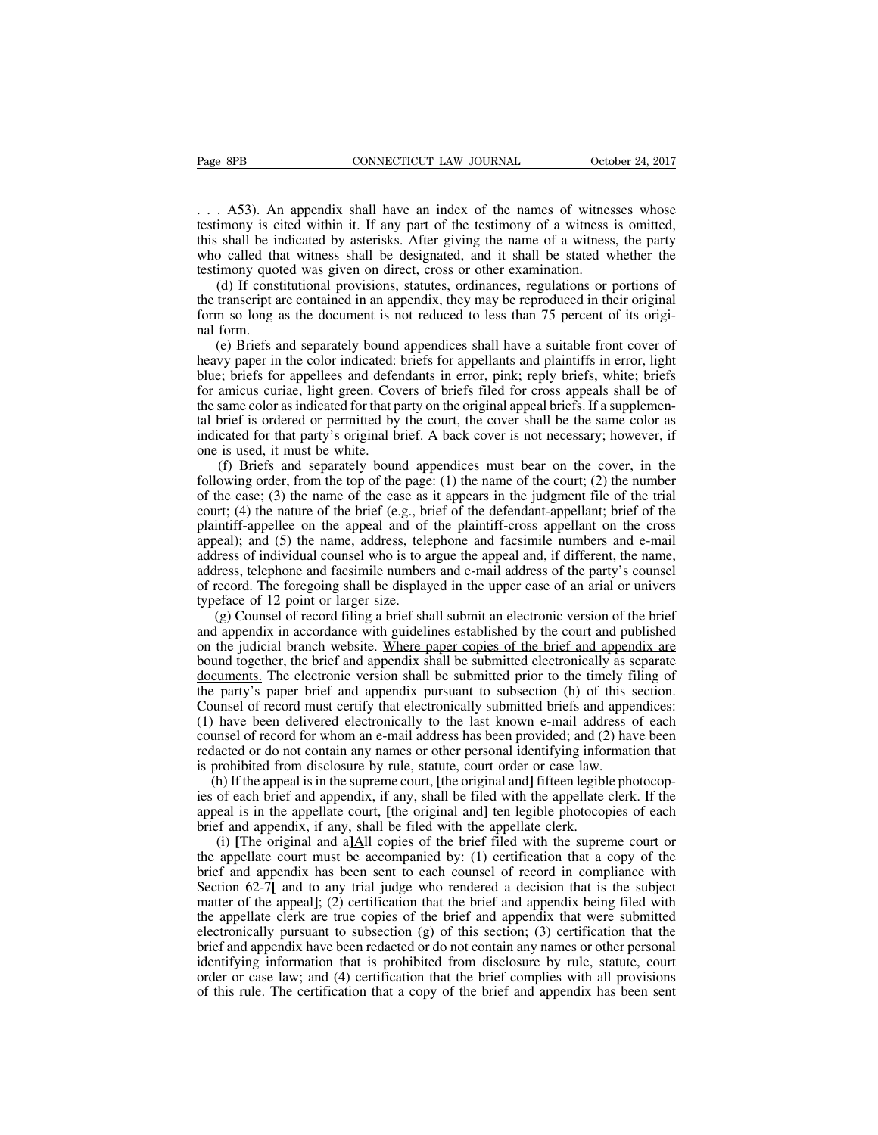Page 8PB<br>
CONNECTICUT LAW JOURNAL October 24, 2017<br>
... A53). An appendix shall have an index of the names of witnesses whose<br>
testimony is cited within it. If any part of the testimony of a witness is omitted,<br>
this shall Page 8PB CONNECTICUT LAW JOURNAL October 24, 2017<br>
... A53). An appendix shall have an index of the names of witnesses whose<br>
testimony is cited within it. If any part of the testimony of a witness is omitted,<br>
this shall Page 8PB **CONNECTICUT LAW JOURNAL** October 24, 2017<br>
... A53). An appendix shall have an index of the names of witnesses whose<br>
testimony is cited within it. If any part of the testimony of a witness is omitted,<br>
this shal Page 8PB CONNECTICUT LAW JOURNAL October 24, 2017<br>
... A53). An appendix shall have an index of the names of witnesses whose<br>
testimony is cited within it. If any part of the testimony of a witness is omitted,<br>
this shall  $(1.11)$ . A53). An appendix shall have an index of the names of witnes<br>testimony is cited within it. If any part of the testimony of a witness<br>this shall be indicated by asterisks. After giving the name of a witness<br>who c (d) If constitutional provisions, statutes, ordinances of witnesses whose imony is cited within it. If any part of the testimony of a witness is omitted, shall be indicated by asterisks. After giving the name of a witness, ... A53). An appendix shall have an index of the names of witnesses whose testimony is cited within it. If any part of the testimony of a witness is omitted, this shall be indicated by asterisks. After giving the name of a Form so long as the document is not reduced to less than 18 and the document is shall be indicated by asterisks. After giving the name of a witness is omitted, this shall be indicated by asterisks. After giving the name o

Example if this shall be in<br>who called that<br>testimony quot<br>(d) If const<br>the transcript a<br>form so long a<br>nal form.<br>(e) Briefs a<br>heavy paper in (e) Briefs and separately bound appendices shall have a suitable front cover of transcript are contained in an appendix, they may be reproduced in their original m so long as the document is not reduced to less than 75 per

who cance that whitess shall be designated, and it shall be stated whether the<br>testimony quoted was given on direct, cross or other examination.<br>(d) If constitutional provisions, statutes, ordinances, regulations or portio blue; briefs and spirite and appendices solutional provisions, statutes, ordinances, regulations or portions of the transcript are contained in an appendix, they may be reproduced in their original form so long as the docu (a) It constructional provisions, statuces, commances, regulations of portions of<br>the transcript are contained in an appendix, they may be reproduced in their original<br>form so long as the document is not reduced to less th the transcript are contained in an appentura, they may be reproduced in their original form so long as the document is not reduced to less than 75 percent of its original form.<br>
(e) Briefs and separately bound appendices s the decembent is not reduced to ress than 75 percent or its origin-<br>nal form.<br>(e) Briefs and separately bound appendices shall have a suitable front cover of<br>heavy paper in the color indicated: briefs for appellants and pl indicated for the color indicated: briefs for appendices shall have a suitable front cover of heavy paper in the color indicated: briefs for appellants and plaintiffs in error, light blue; briefs for appellees and defendan (e) Briefs and separately bound<br>heavy paper in the color indicated:<br>blue; briefs for appellees and defer<br>for amicus curiae, light green. Cov<br>the same color as indicated for that p<br>tal brief is ordered or permitted by<br>indic (f) Briefs and separately bound appendices must bear on the cover, in the cost (3) the range of the covers of briefs filed for cross appeals shall be of same color as indicated for that party on the original appeal briefs. following order, in the top of the page: (1) the name of the defendant-appellant; (4) the name of the same of the same color as indicated for that party on the original appeal briefs. If a supplemental brief is ordered or

of annews curial, ngin green. Covers of offers filed tor closs appears shart of the same color as indicated for that party on the original appeal briefs. If a supplemental brief is ordered or permitted by the court, the co the same color as indicated for that party of the original appear offers. It a supplemental brief is ordered or permitted by the court, the cover shall be the same color as indicated for that party's original brief. A back an orient is ondered or permined by the court, the cover shall be the saint color as<br>indicated for that party's original brief. A back cover is not necessary; however, if<br>one is used, it must be white.<br>(f) Briefs and sepa mateated for that party's original offer. A back cover is not necessary, nowever, in<br>one is used, it must be white.<br>(f) Briefs and separately bound appendices must bear on the cover, in the<br>following order, from the top of (f) Briefs and separately bound appendices must bear on the cover, in the following order, from the top of the page: (1) the name of the court; (2) the number of the case; (3) the name of the case as it appears in the jud (i) Bricis and separatry bound appendices must ocal on the cover, in the following order, from the top of the page: (1) the name of the court; (2) the number of the case; (3) the name of the case as it appears in the judg Following order, from the top of the page. (1) the name of the court, (2) the number<br>of the case; (3) the name of the case as it appears in the judgment file of the trial<br>court; (4) the nature of the brief (e.g., brief of of the case, (3) the nature of the brief (e.g., br<br>court; (4) the nature of the brief (e.g., br<br>plaintiff-appellee on the appeal and of<br>appeal); and (5) the name, address, tele<br>address of individual counsel who is to a<br>ad Int, ( $\leftrightarrow$ ) the hattic of the orier ( $c.g.,$  orier of the detechdant-apperiant, orier of the intiff-appellee on the appeal and of the plaintiff-cross appellant on the cross eal); and (5) the name, address, telephone and fac plantin-appence on the appear and or the plantin-eross appenant on the cross<br>appeal); and (5) the name, address, telephone and facsimile numbers and e-mail<br>address of individual counsel who is to argue the appeal and, if d

appear), and (3) the name, address, telephone and racsmine numbers and e-main<br>address of individual counsel who is to argue the appeal and, if different, the name,<br>address, telephone and facsimile numbers and e-mail addres address, telephone and facsimile numbers and e-mail address of the party's counsel<br>of record. The foregoing shall be displayed in the upper case of an arial or univers<br>typeface of 12 point or larger size.<br>(g) Counsel of re documents. The foregoing shall be displayed in the upper case of an arial or univers<br>typeface of 12 point or larger size.<br>(g) Counsel of record filing a brief shall submit an electronic version of the brief<br>and appendix in typeface of 12 point or larger size.<br>
(g) Counsel of record filing a brief shall submit an electronic version of the brief<br>
and appendix in accordance with guidelines established by the court and published<br>
on the judicial Counsel of record filing a brief shall submit an electronic version of the brief and appendix in accordance with guidelines established by the court and published on the judicial branch website. Where paper copies of the (g) Counser of record rimig a orier sinan submit an electronic version of the orier<br>and appendix in accordance with guidelines established by the court and published<br>on the judicial branch website. Where paper copies of t and appendix in accordance whit guidenties established by the court and published<br>on the judicial branch website. Where paper copies of the brief and appendix are<br>bound together, the brief and appendix shall be submitted e or the judicial orain website. Where paper copies or the orier and appendix are<br>bound together, the brief and appendix shall be submitted electronically as separate<br>documents. The electronic version shall be submitted prio bound together, the bited and appendix shan be submitted electronically as s<br>documents. The electronic version shall be submitted prior to the timely fi<br>the party's paper brief and appendix pursuant to subsection (h) of th Edments. The electronic version shan be submitted prior to the timery ring of<br>e party's paper brief and appendix pursuant to subsection (h) of this section.<br>unsel of record must certify that electronically submitted briefs Inception of each brief and appendix pursuant to subsection (ii) or uns section.<br>Counsel of record must certify that electronically submitted briefs and appendices:<br>(1) have been delivered electronically to the last known Counser of record must ectiny that electromeany submitted oriers and appendices.<br>
(1) have been delivered electronically to the last known e-mail address of each<br>
counsel of record for whom an e-mail address has been prov

(1) have been derivered electromeany to the fast known e-mail addreso counsel of record for whom an e-mail address has been provided; and (2 redacted or do not contain any names or other personal identifying infor is proh fixed or do not contain any names or other personal identifying information that rohibited from disclosure by rule, statute, court order or case law.<br>
h) If the appeal is in the supreme court, [the original and] fifteen l

teducted of do not contain any names of other personal dentitying information that<br>is prohibited from disclosure by rule, statute, court order or case law.<br>(h) If the appeal is in the supreme court, [the original and] fif In the appearance of the summanned in the suppreme count, the original and a lifter legible photocopies of each brief and appendix, if any, shall be filed with the appellate clerk. If the appeal is in the appellate court, (i) If the appear is in the suppente count, the original and finite in egipte photocop-<br>ies of each brief and appendix, if any, shall be filed with the appellate clerk. If the<br>appeal is in the appellate court, [the origin matter of the appendix, it any, shall be filed with the appendix. It ince appeal is in the appellate court, [the original and] ten legible photocopies of each brief and appendix, if any, shall be filed with the appellate appear is in the appenate court, the original and then tegione photocopies of each brief and appendix, if any, shall be filed with the appellate clerk.<br>
(i) [The original and a]All copies of the brief filed with the supre electronically pursuant to subsection (g) of this section; (3) certification that a copy of the appellate court must be accompanied by: (1) certification that a copy of the brief and appendix has been sent to each counsel (1) The original and a<sub>ll</sub>an copies of the offer fired with the suppleme court of<br>the appellate court must be accompanied by: (1) certification that a copy of the<br>brief and appendix has been sent to each counsel of record ince appenate court must be accompanied by. (1) centrication that a copy of the brief and appendix has been sent to each counsel of record in compliance with Section 62-7[ and to any trial judge who rendered a decision tha Section 62-7[ and to any trial judge who rendered a decision that is the subject matter of the appeal]; (2) certification that the brief and appendix being filed with the appellate clerk are true copies of the brief and a Section 62-7[ and to any trial judge who rendered a decision that is the subject matter of the appeal]; (2) certification that the brief and appendix being filed with the appellate clerk are true copies of the brief and a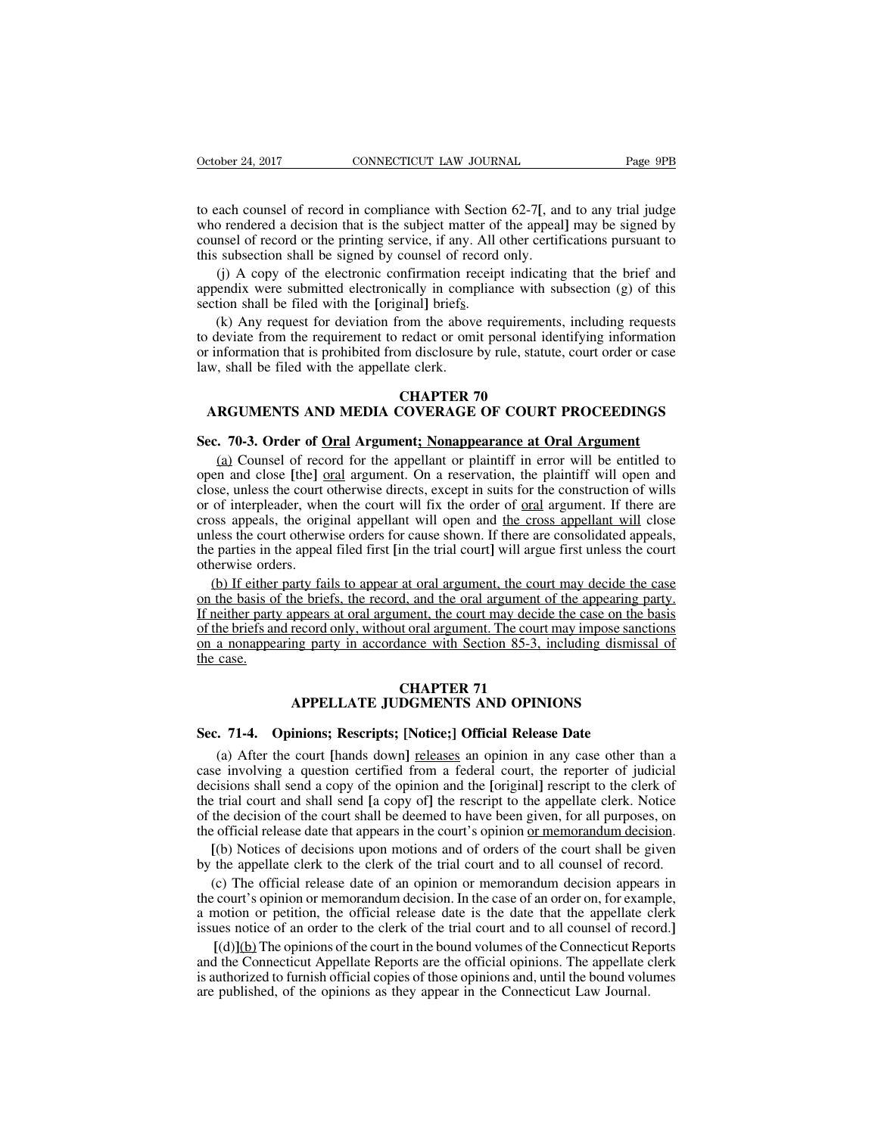October 24, 2017 CONNECTICUT LAW JOURNAL Page 9PB<br>to each counsel of record in compliance with Section 62-7[, and to any trial judge<br>who rendered a decision that is the subject matter of the appeal] may be signed by<br>counse October 24, 2017 CONNECTICUT LAW JOURNAL Page 9PB<br>to each counsel of record in compliance with Section 62-7[, and to any trial judge<br>who rendered a decision that is the subject matter of the appeal] may be signed by<br>counse October 24, 2017 CONNECTICUT LAW JOURNAL Page 9PB<br>to each counsel of record in compliance with Section 62-7[, and to any trial judge<br>who rendered a decision that is the subject matter of the appeal] may be signed by<br>counse October 24, 2017 CONNECTICUT LAW JOURNAL<br>to each counsel of record in compliance with Section 62-7[, an<br>who rendered a decision that is the subject matter of the appeal<br>counsel of record or the printing service, if any. Al exach counsel of record in compliance with Section 62-7[, and to any trial judge<br>o rendered a decision that is the subject matter of the appeal] may be signed by<br>nsel of record or the printing service, if any. All other ce to each counsel of record in compliance with Section 62-7[, and to any trial judge<br>who rendered a decision that is the subject matter of the appeal] may be signed by<br>counsel of record or the printing service, if any. All o to each counsel of record in compliance with Section<br>who rendered a decision that is the subject matter of<br>counsel of record or the printing service, if any. All<br>this subsection shall be signed by counsel of record<br>(j) A c

(k) any request or deviation find is the subject matter of the appeal] may be signed by msel of record or the printing service, if any. All other certifications pursuant to subsection shall be signed by counsel of record o counsel of record or the printing service, if any. All other certifications pursuant to<br>this subsection shall be signed by counsel of record only.<br>(j) A copy of the electronic confirmation receipt indicating that the brief this subsection shall be signed by counsel of record only.<br>
(j) A copy of the electronic confirmation receipt indicating that the brief and<br>
appendix were submitted electronically in compliance with subsection (g) of this<br> (j) A copy of the electronic confirmation reappendix were submitted electronically in compsection shall be filed with the [original] briefs.<br>
(k) Any request for deviation from the above<br>
to deviate from the requirement t Example 1997 and 1997 and 1997 and 1998.<br>
Final] briefs.<br>
From the above requiremen<br>
redact or omit personal id<br>
the derk.<br> **CHAPTER 70**<br> **COVERAGE OF COURT** (k) Any request for deviation from the above requirements, including requests<br>deviate from the requirement to redact or omit personal identifying information<br>information that is prohibited from disclosure by rule, statute, From the requirement to redact or omit personal identitying information<br>or information that is prohibited from disclosure by rule, statute, court order or case<br>law, shall be filed with the appellate clerk.<br>**CHAPTER 70**<br>**AR** 

(a) Counsel of record for the appellant or plaintiff in error will be entitled to record for the appellant or plaintiff in error will be entitled to record for the appellant or plaintiff in error will be entitled to record **CHAPTER 70**<br> **CHAPTER 70**<br> **Sec. 70-3. Order of <u>Oral</u> Argument; Nonappearance at Oral Argument**<br>
(a) Counsel of record for the appellant or plaintiff in error will be entitled to<br>
open and close [the] <u>oral</u> argument. On **CHAPTER 70**<br>**CHAPTER 70**<br>**Sec. 70-3. Order of <u>Oral</u> Argument; Nonappearance at Oral Argument**<br>(a) Counsel of record for the appellant or plaintiff in error will be entitled to<br>open and close [the] <u>oral</u> argument. On a r ARGUMENTS AND MEDIA COVERAGE OF COURT PROCEEDINGS<br>Sec. 70-3. Order of <u>Oral</u> Argument; Nonappearance at Oral Argument<br>(a) Counsel of record for the appellant or plaintiff in error will be entitled to<br>open and close [the] o Sec. 70-3. Order of <u>Oral</u> Argument; Nonappearance at Oral Argument<br>(a) Counsel of record for the appellant or plaintiff in error will be entitled to<br>open and close [the] oral argument. On a reservation, the plaintiff will Sec. 70-3. Order of <u>Oral</u> Argument; Nonappearance at Oral Argument<br>(a) Counsel of record for the appellant or plaintiff in error will be entitled to<br>open and close [the] oral argument. On a reservation, the plaintiff will (a) Counsel of record for the appellant or plaintiff in error will be entitled to open and close [the] oral argument. On a reservation, the plaintiff will open and close, unless the court otherwise directs, except in suits Lat Counser of recover<br>open and close [the]  $\epsilon$ <br>close, unless the court of<br>or of interpleader, whe<br>cross appeals, the orig<br>unless the court otherwise<br>the parties in the appear<br>otherwise orders.<br>(b) If either party fa<br>on be, unless the court otherwise directs, except in suits for the construction of wills of interpleader, when the court will fix the order of <u>oral</u> argument. If there are poss appeals, the original appellant will open and <u></u> or of interpleader, when the court will fix the order of <u>oral</u> argument. If there are cross appeals, the original appellant will open and <u>the cross appellant will</u> close unless the court otherwise orders for cause shown.

cross appeals, the original appellant will open and the cross appellant will close<br>unless the court otherwise orders for cause shown. If there are consolidated appeals,<br>the parties in the appeal filed first [in the trial c unless the court otherwise orders for cause shown. If there are consolidated appeals, the parties in the appeal filed first [in the trial court] will argue first unless the court otherwise orders.<br>
(b) If either party fail the parties in the appeal filed first [in the trial court] will argue first unless the court<br>otherwise orders.<br>(b) If either party fails to appear at oral argument, the court may decide the case<br>on the basis of the briefs, otherwise orde<br>(b) If either<br>on the basis of<br>If neither party<br>of the briefs an<br>on a nonappea<br>the case. at oral argument, the courd, and the oral argument of the court may decide<br>the court may decide<br>to the court may decide<br>the court Section 85-3, in<br>**CHAPTER 71**<br>**CHAPTER 71**<br>**DGMENTS AND OPINI** If neither party appears at oral argument, the court may decide the case on the basis<br>of the briefs and record only, without oral argument. The court may impose sanctions<br>on a nonappearing party in accordance with Section The South of the Briefs and record only, without of a ragument. The court may impose sanct on a nonappearing party in accordance with Section 85-3, including dismiss the case.<br> **SEC. 71-4.** Opinions; Rescripts; [Notice;] O

(**CHAPTER 71**<br> **EXECUTE CONCIDENTS AND OPINIONS**<br> **EXECUTE: COPINIONS**<br> **EXECUTE: [Notice**;] **Official Release Date**<br> **(a)** After the court [hands down] <u>releases</u> an opinion in any case other than a<br> **e** involving a **CHAPTER 71**<br> **CHAPTER 71**<br> **Sec. 71-4. Opinions; Rescripts; [Notice;] Official Release Date**<br>
(a) After the court [hands down] <u>releases</u> an opinion in any case other than a<br>
case involving a question certified from a fed **CHAPTER 71**<br>**EXECUTE JUDGMENTS AND OPINIONS**<br>**Sec. 71-4. Opinions; Rescripts; [Notice;] Official Release Date**<br>(a) After the court [hands down] <u>releases</u> an opinion in any case other than a<br>case involving a question ce APPELLATE JUDGMENTS AND OPINIONS<br>Sec. 71-4. Opinions; Rescripts; [Notice;] Official Release Date<br>(a) After the court [hands down] <u>releases</u> an opinion in any case other than a<br>case involving a question certified from a fe **Sec. 71-4. Opinions; Rescripts; [Notice;] Official Release Date**<br>(a) After the court [hands down] <u>releases</u> an opinion in any case other than a<br>case involving a question certified from a federal court, the reporter of ju **Sec. 71-4. Opinions; Rescripts; [Notice;] Official Release Date**<br>
(a) After the court [hands down] <u>releases</u> an opinion in any case other than a<br>
case involving a question certified from a federal court, the reporter (a) After the court [hands down] <u>releases</u> an opinion in any case other than a<br>se involving a question certified from a federal court, the reporter of judicial<br>cisions shall send a copy of the opinion and the [original] r (a) After the court [hands down] <u>releases</u> an opinion in any case other than a case involving a question certified from a federal court, the reporter of judicial decisions shall send a copy of the opinion and the [origina cisions shall send a copy of the opinion and the [original] rescript to the clerk of<br>e trial court and shall send [a copy of] the rescript to the appellate clerk. Notice<br>the decision of the court shall be deemed to have be

the trial court and shall send [a copy of] the rescript to the appellate clerk. Notice<br>of the decision of the court shall be deemed to have been given, for all purposes, on<br>the official release date that appears in the cou or the decision of the court shall be deemed to have been given, for all purposes, on<br>the official release date that appears in the court's opinion <u>or memorandum decision</u>.<br>[(b) Notices of decisions upon motions and of o the official release date that appears in the court's opinion <u>or memorandum decision</u>.<br>
[(b) Notices of decisions upon motions and of orders of the court shall be given<br>
by the appellate clerk to the clerk of the trial co [(b) Notices of decisions upon motions and of orders of the court shall be given<br>the appellate clerk to the clerk of the trial court and to all counsel of record.<br>(c) The official release date of an opinion or memorandum by the appellate clerk to the clerk of the trial court and to all counsel of record.<br>
(c) The official release date of an opinion or memorandum decision appears in<br>
the court's opinion or memorandum decision. In the case o (c) The official release date of an opinion or memorandum decision appears in the court's opinion or memorandum decision. In the case of an order on, for example, a motion or petition, the official release date is the dat

the court's opinion or memorandum decision. In the case of an order on, for exan a motion or petition, the official release date is the date that the appellate cissues notice of an order to the clerk of the trial court and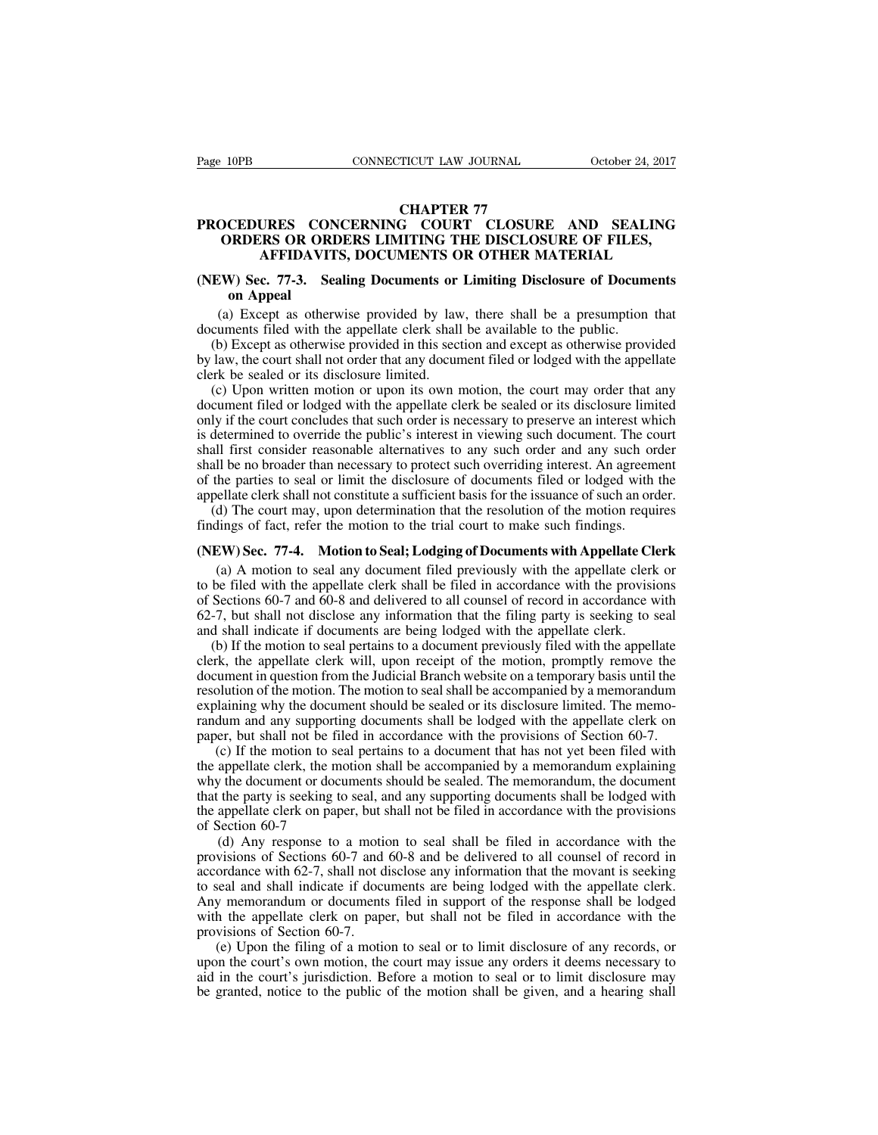### **TICUT LAW JOURNAL<br>CHAPTER 77<br>G COURT CLOSURE<br>IITING THE DISCLOSU** Page 10PB CONNECTICUT LAW JOURNAL October 24, 2017<br>CHAPTER 77<br>**PROCEDURES CONCERNING COURT CLOSURE AND SEALING**<br>ORDERS OR ORDERS LIMITING THE DISCLOSURE OF FILES,<br>AFFIDAVITS, DOCUMENTS OR OTHER MATERIAL **CONNECTICUT LAW JOURNAL CORDER 24, 2017<br>
CHAPTER 77<br>
OCEDURES CONCERNING COURT CLOSURE AND SEALING<br>
ORDERS OR ORDERS LIMITING THE DISCLOSURE OF FILES,<br>
AFFIDAVITS, DOCUMENTS OR OTHER MATERIAL CONNECTICUT LAW JOURNAL** October 24, 2017<br> **CHAPTER 77**<br> **CHAPTER 77**<br> **CHAPTER 77**<br> **CHAPTER 77**<br> **CHAPTER 77**<br> **CHAPTER 77**<br> **CHAPTER 77**<br> **CHAPTER AND SEALING**<br> **RS OR ORDERS LIMITING THE DISCLOSURE OF FILES,<br>
AFFIDAVI (NEW)** CHAPTER 77<br> **CHAPTER 77**<br> **(NEW) SEC. OR ORDERS LIMITING THE DISCLOSURE OF FILES,**<br> **AFFIDAVITS, DOCUMENTS OR OTHER MATERIAL**<br> **(NEW) Sec. 77-3.** Sealing Documents or Limiting Disclosure of Documents<br>
on Appeal<br>
(a **CEDURES CO**<br> **ORDERS OR OF**<br> **AFFIDAVI**<br> **V**) **Sec. 77-3. S**<br> **on Appeal**<br> **)** Except as other (a) EXECUTE AND SEALING<br>
ORDERS OR ORDERS LIMITING THE DISCLOSURE OF FILES,<br>
AFFIDAVITS, DOCUMENTS OR OTHER MATERIAL<br>
EW) Sec. 77-3. Sealing Documents or Limiting Disclosure of Documents<br>
on Appeal<br>
(a) Except as otherwise ORDERS OR ORDERS LIMITING THE DISCLOSURE OF FILES,<br>AFFIDAVITS, DOCUMENTS OR OTHER MATERIAL<br>(NEW) Sec. 77-3. Sealing Documents or Limiting Disclosure of Docum<br>on Appeal<br>(a) Except as otherwise provided by law, there shall b

(b) Except as otherwise provided by law, there is a presumption that cuments on Appeal (a) Except as otherwise provided by law, there shall be a presumption that cuments filed with the appellate clerk shall be available to **EXECUTE CONTENTS ON OTTIEN MATENIAL**<br> **(NEW) Sec. 77-3.** Sealing Documents or Limiting Disclosure of Documents<br>
on Appeal<br>
(a) Except as otherwise provided by law, there shall be a presumption that<br>
documents filed with t (NEW) Sec. 77-3. Sealing Documents or<br>on Appeal<br>(a) Except as otherwise provided by law<br>documents filed with the appellate clerk shall<br>(b) Except as otherwise provided in this sect<br>by law, the court shall not order that an

(a) Except as otherwise provided by law, there shall be a presumption that cuments filed with the appellate clerk shall be available to the public.<br>(b) Except as otherwise provided in this section and except as otherwise p (a) Except as otherwise provided by law, there shall be a presumption that documents filed with the appellate clerk shall be available to the public.<br>
(b) Except as otherwise provided in this section and except as otherwis (a) Except as otherwise provided by law, there shall be a presumption that documents filed with the appellate clerk shall be available to the public.<br>
(b) Except as otherwise provided in this section and except as otherwis doculties ince with the appenate clerk shall be available to the public.<br>
(b) Except as otherwise provided in this section and except as otherwise provided<br>
by law, the court shall not order that any document filed or lodg (b) Except as otherwise provided in this section and except as otherwise provided<br>by law, the court shall not order that any document filed or lodged with the appellate<br>clerk be sealed or its disclosure limited.<br>(c) Upon w by law, the court shall hot order that any document fried of lodged with the appenate<br>clerk be sealed or its disclosure limited.<br>(c) Upon written motion or upon its own motion, the court may order that any<br>document filed o (c) Upon written motion or upon its own motion, the court may order that any document filed or lodged with the appellate clerk be sealed or its disclosure limited only if the court concludes that such order is necessary to (c) Opon written motion of upon its own motion, the contrinaty offer that any document filed or lodged with the appellate clerk be sealed or its disclosure limited only if the court concludes that such order is necessary t (d) The court may, upon determination that the resolution of the motion requires a method of The court all first consider reasonable alternatives to any such order and any such order all first consider reasonable alternat only if the court concludes that such order is necessary to preserve an interest which<br>is determined to override the public's interest in viewing such document. The court<br>shall first consider reasonable alternatives to any Shall first consider reasonable alternatives to any such order and any such order<br>
shall be no broader than necessary to protect such overriding interest. An agreement<br>
of the parties to seal or limit the disclosure of doc

In the parties to seal or limit the disclosure of documents filed or lodged with the parties to seal or limit the disclosure of documents filed or lodged with the ellate clerk shall not constitute a sufficient basis for th of the parties to sear of film the disclosure of documents filed of lodged with the appellate clerk shall not constitute a sufficient basis for the issuance of such an order.<br>
(d) The court may, upon determination that the delighted cick shall not constraint a sufficient basis for the issuance of start an order.<br>
(d) The court may, upon determination that the resolution of the motion requires<br>
findings of fact, refer the motion to the trial (d) The court may, upon determination that the resolution of the inotion requires<br>findings of fact, refer the motion to the trial court to make such findings.<br>(NEW) Sec. 77-4. Motion to Seal; Lodging of Documents with App manngs or ract, terer are motion to the that court to make such manngs.<br>
(NEW) Sec. 77-4. Motion to Seal; Lodging of Documents with Appellate Cle<br>
(a) A motion to seal any document filed previously with the appellate clerk **EW) Sec. 77-4. Motion to Seal; Lodging of Documents with Appellate Clerk** (a) A motion to seal any document filed previously with the appellate clerk or be filed with the appellate clerk shall be filed in accordance with (a) A motion to seal any document filed previously with the appellate clerk or to be filed with the appellate clerk shall be filed in accordance with the provisions of Sections 60-7 and 60-8 and delivered to all counsel of

(a) A motion to sear any document incident previously with the appenate clerk of<br>to be filed with the appellate clerk shall be filed in accordance with the provisions<br>of Sections 60-7 and 60-8 and delivered to all counsel resolution of the motion. The motion to seal shall be lodged with the appellate clerk on and shall indicate if documents are being lodged with the appellate clerk.<br>
(b) If the motion to seal pertains to a document previous 62-7, but shall not disclose any information that the filing party is seeking to seal<br>and shall indicate if documents are being lodged with the appellate clerk.<br>(b) If the motion to seal pertains to a document previously f  $\alpha$ -7, out shall hot userose any information that the ring party is seeking to sear<br>and shall indicate if documents are being lodged with the appellate clerk.<br>(b) If the motion to seal pertains to a document previously f and shall noteade in documents are ocing lodged with the appellate clerk.<br>
(b) If the motion to seal pertains to a document previously filed with the appellate<br>
clerk, the appellate clerk will, upon receipt of the motion, (e) It the motion to seal pertains to a document previously filed with the appenate the twinter. The motion from the Judicial Branch website on a temporary basis until the olution of the motion. The motion to seal shall be the appellate clerk win, upon recept of the motion, prompty remove the document in question from the Judicial Branch website on a temporary basis until the resolution of the motion. The motion to seal shall be accompanied

document in question from the statical Branch website on a temporary basis until the resolution of the motion. The motion to seal shall be accompanied by a memorandum explaining why the document should be sealed or its dis resolution of the motion. The motion to seal shart oc accompanied by a memorantum explaining why the document should be sealed or its disclosure limited. The memorandum and any supporting documents shall be lodged with the Expraining with the document shold of stated of its disclosure inince. The inchor-<br>randum and any supporting documents shall be lodged with the appellate clerk on<br>paper, but shall not be filed in accordance with the provis randum and any supporting<br>paper, but shall not be file<br>(c) If the motion to sea<br>the appellate clerk, the moto<br>why the document or docum<br>that the party is seeking to<br>the appellate clerk on pape<br>of Section 60-7<br>(d) Any respo (c) If the motion to seal pertains to a document that has not yet been filed with appellate clerk, the motion shall be accompanied by a memorandum explaining  $y$  the document or documents should be sealed. The memorandum, (c) If the motion to scal pertains to a document that has not yet ocen fried with<br>the appellate clerk, the motion shall be accompanied by a memorandum explaining<br>why the document or documents should be sealed. The memoran

accordance exist, the motion shall be sealed. The memorandum explaining<br>why the document or documents should be sealed. The memorandum, the document<br>that the party is seeking to seal, and any supporting documents shall be why the document of documents should be search. The inemformation, the document<br>that the party is seeking to seal, and any supporting documents shall be lodged with<br>the appellate clerk on paper, but shall not be filed in a that the party is seeking to seat, and any supporting documents shart of oldged with<br>the appellate clerk on paper, but shall not be filed in accordance with the provisions<br>of Section 60-7<br>(d) Any response to a motion to se delarged in the appellate clerk on paper, but shall not be filed in accordance with the provisions of Sections 60-7 and 60-8 and be delivered to all counsel of record in accordance with 62-7, shall not disclose any inform (d) Any response to a motion<br>provisions of Sections 60-7 and<br>accordance with 62-7, shall not d<br>to seal and shall indicate if docu<br>Any memorandum or documents<br>with the appellate clerk on pape<br>provisions of Section 60-7.<br>(e (e) Any response to a motion to seal siam be filed in accordance with the visions of Sections 60-7 and 60-8 and be delivered to all counsel of record in ordance with 62-7, shall not disclose any information that the movan provisions of sections 60-7 and 60-6 and be derivered to an courser of record in accordance with 62-7, shall not disclose any information that the movant is seeking to seal and shall indicate if documents are being lodged accordance with 02-7, shart not disclose any imormation that the movant is seeking<br>to seal and shall indicate if documents are being lodged with the appellate clerk.<br>Any memorandum or documents filed in support of the resp

be granted, notice to the public of the motion shall be given, and a hearing shall be lodged with the appellate clerk on paper, but shall not be filed in accordance with the provisions of Section 60-7.<br>
(e) Upon the filing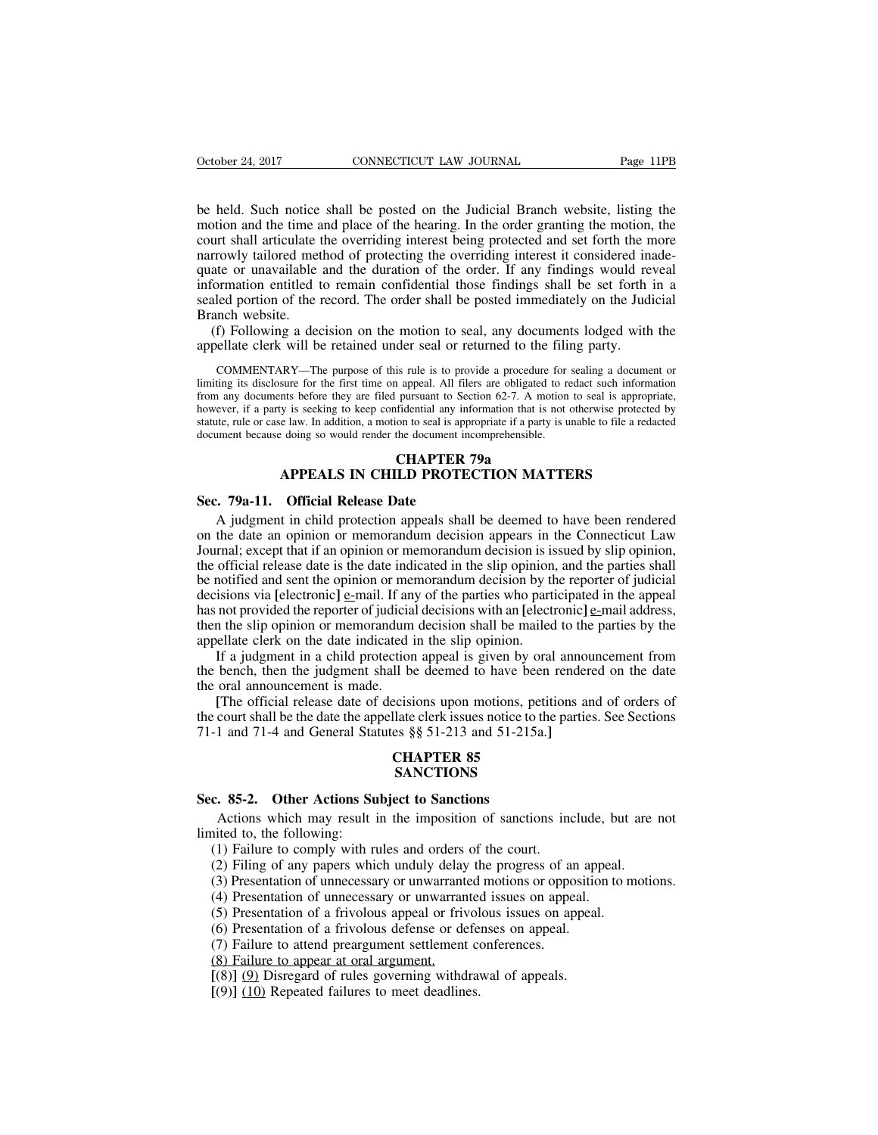October 24, 2017 CONNECTICUT LAW JOURNAL Page 11PB<br>be held. Such notice shall be posted on the Judicial Branch website, listing the<br>motion and the time and place of the hearing. In the order granting the motion, the<br>court October 24, 2017 CONNECTICUT LAW JOURNAL Page 11PB<br>be held. Such notice shall be posted on the Judicial Branch website, listing the<br>motion and the time and place of the hearing. In the order granting the motion, the<br>court October 24, 2017 CONNECTICUT LAW JOURNAL Page 11PB<br>be held. Such notice shall be posted on the Judicial Branch website, listing the<br>motion and the time and place of the hearing. In the order granting the motion, the<br>court October 24, 2017 CONNECTICUT LAW JOURNAL Page 11PB<br>be held. Such notice shall be posted on the Judicial Branch website, listing the<br>motion and the time and place of the hearing. In the order granting the motion, the<br>court be held. Such notice shall be posted on the Judicial Branch website, listing the motion and the time and place of the hearing. In the order granting the motion, the court shall articulate the overriding interest being prot be held. Such notice shall be posted on the Judicial Branch website, listing the motion and the time and place of the hearing. In the order granting the motion, the court shall articulate the overriding interest being prot be held. Such notice shall be posted on the Judicial Branch website, listing the motion and the time and place of the hearing. In the order granting the motion, the court shall articulate the overriding interest being prot be near, such notice<br>motion and the time a<br>court shall articulate t<br>narrowly tailored met<br>quate or unavailable<br>information entitled t<br>sealed portion of the 1<br>Branch website.<br>(f) Following a dec<br>appellate clerk will be (f) Following a decision on the motion to seal, any documents lodged with the more provident of the evertion interest being protected and set forth the more rrowly tailored method of protecting the overriding interest it c Fracture shall anticulate the overhang interest being protected and set form the information and approximation of the duration of the order. If any findings would re information entitled to remain confidential those findin information entitled to remain confidential those findings shall be set forth in a sealed portion of the record. The order shall be posted immediately on the Judicial Branch website.<br>
(f) Following a decision on the motion

Branch website.<br>
(f) Following a decision on the motion to seal, any documents lodged with the<br>
appellate clerk will be retained under seal or returned to the filing party.<br>
COMMENTARY—The purpose of this rule is to provid (f) Following a decision on the motion to seal, any documents lodged with the appellate clerk will be retained under seal or returned to the filing party.<br>COMMENTARY—The purpose of this rule is to provide a procedure for (f) Following a decision on the motion to seal, any documents lodged with the appellate clerk will be retained under seal or returned to the filing party.<br>
COMMENTARY—The purpose of this rule is to provide a procedure for appellate clerk will be retained under seal or returned to the filing party.<br>COMMENTARY—The purpose of this rule is to provide a procedure for sealing a document or<br>limiting its disclosure for the first time on appeal. All COMMENTARY—The purpose of this rule is to provide a procedure for sealing a document or limiting its disclosure for the first time on appeal. All filers are obligated to redact such information from any documents before t is rule is to provide a procedure 1<br> **CAPTER 1** appeal. All filers are obligated to<br>
pursuant to Section 62-7. A motifidential any information that is n<br>
con to seal is appropriate if a party is<br>
the document incomprehens INTERTANT The purpose of this rule is to provide a procedure for sealing a document<br>sure for the first time on appeal. All filers are obligated to redact such information<br>that before they are filed pursuant to Section 62-7 From any documents before they are filed pursuant to sect<br>however, if a party is seeking to keep confidential any information.<br>Statute, rule or case law. In addition, a motion to seal is approducement because doing so woul

The state, rule or case law. In addition, a motion to seal is appropriate if a party is unable to file a redacted<br>
unent because doing so would render the document incomprehensible.<br> **CHAPTER 79a**<br> **APPEALS IN CHILD PROTEC** CHAPTER 79a<br>
CHAPTER 79a<br>
APPEALS IN CHILD PROTECTION MATTERS<br>
Sec. 79a-11. Official Release Date<br>
A judgment in child protection appeals shall be deemed to have been rendered<br>
on the date an opinion or memorandum decision **CHAPTER 79a**<br> **Sec. 79a-11.** Official Release Date<br>
A judgment in child protection appeals shall be deemed to have been rendered<br>
on the date an opinion or memorandum decision appears in the Connecticut Law<br>
Journal; exce **EXECUTE ATTERS**<br>Sec. 79a-11. Official Release Date<br>A judgment in child protection appeals shall be deemed to have been rendered<br>on the date an opinion or memorandum decision appears in the Connecticut Law<br>Journal; except **EXECUTE: EXECUTE: EXECUTE: EXECUTE: EXECUTE: EXECUTE: EXECUTE: A** judgment in child protection appeals shall be deemed to have been rendered on the date an opinion or memorandum decision appears in the Conn Sec. 79a-11. Official Release Date<br>A judgment in child protection appeals shall be deemed to have been rendered<br>on the date an opinion or memorandum decision appears in the Connecticut Law<br>Journal; except that if an opini A judgment in child protection appeals shall be deemed to have been rendered on the date an opinion or memorandum decision appears in the Connecticut Law Journal; except that if an opinion or memorandum decision is issued A judgment in clind protection appears shall be deemed to have been rendered<br>on the date an opinion or memorandum decision appears in the Connecticut Law<br>Journal; except that if an opinion or memorandum decision is issued on the date an opinion of included in decision appears in Journal; except that if an opinion or memorandum decision is is the official release date is the date indicated in the slip opinion be notified and sent the opinion India, except that it all optimal of interlocation is since by sup optimal, official release date is the date indicated in the slip opinion, and the parties shall notified and sent the opinion or memorandum decision by th the bench is the date indicated in the sip opinion, and the parties shall<br>be notified and sent the opinion or memorandum decision by the reporter of judicial<br>decisions via [electronic] e-mail. If any of the parties who pa be notined and sent the opinion of the<br>decisions via [electronic]  $\underline{e}$ -mail. If an<br>has not provided the reporter of judicia<br>then the slip opinion or memorandum<br>appellate clerk on the date indicated i<br>If a judgment in From the stretching  $\frac{1}{2}$  manner in any of the parties who participated in the appear not provided the reporter of judicial decisions with an [electronic] <u>e-</u>mail address, in the slip opinion or memorandum decision s

then the slip opinion or memorandum decisions while a precedione of  $\frac{1}{2}$  main decision, then the slip opinion or memorandum decision shall be mailed to the parties by the appellate clerk is not in the slip opinion. I appellate clerk on the date indicated in the slip opinion.<br>If a judgment in a child protection appeal is given by oral annou<br>the bench, then the judgment shall be deemed to have been render<br>the oral announcement is made.<br>[

tion appeal is given by or<br>Il be deemed to have been<br>ecisions upon motions, pet<br>llate clerk issues notice to thes §§ 51-213 and 51-215a.<br>**CHAPTER 85**<br>**SANCTIONS** [The official release date of decisions upon motions, pe<br>the court shall be the date the appellate clerk issues notice to<br>71-1 and 71-4 and General Statutes §§ 51-213 and 51-215;<br>**CHAPTER 85**<br>**SANCTIONS**<br>**Sec. 85-2. Othe** 

### **SANCTIONS**

Final be the date the appellate clerk issues notice to the parties. See Sections<br>
1 and 71-4 and General Statutes §§ 51-213 and 51-215a.]<br> **CHAPTER 85**<br> **SANCTIONS**<br> **Actions which may result in the imposition of sanctions** Sec. 85-2. Other Actions Su<br>
Actions which may result if<br>
limited to, the following:<br>
(1) Failure to comply with ru (2) Filing of any papers which **CHAPTER 85<br>
SANCTIONS**<br> **c. 85-2. Other Actions Subject to Sanctions**<br>
Actions which may result in the imposition of sanctions in<br>
inted to, the following:<br>
(1) Failure to comply with rules and orders of the court.<br>
(2) F **EXECUTIONS**<br> **EXECUTIONS**<br> **C. 85-2.** Other Actions Subject to Sanctions<br>
Actions which may result in the imposition of sanctions include, but are<br>
ited to, the following:<br>
(1) Failure to comply with rules and orders of t (3) CH is a series of the Sanctions<br>
(3) Actions which may result in the imposition of sanctions include, but are not<br>
inted to, the following:<br>
(1) Failure to comply with rules and orders of the court.<br>
(2) Filing of any **c. 85-2. Other Actions Subject to Sanctions**<br>Actions which may result in the imposition of sanctions include, bu<br>ited to, the following:<br>(1) Failure to comply with rules and orders of the court.<br>(2) Filing of any papers w Actions which may result in the imposition of sanctions include, but a<br>inted to, the following:<br>(1) Failure to comply with rules and orders of the court.<br>(2) Filing of any papers which unduly delay the progress of an appea incel to, the following:<br>
(1) Failure to comply with rules and orders of the court.<br>
(2) Filing of any papers which unduly delay the progress of an app<br>
(3) Presentation of unnecessary or unwarranted motions or oppositio<br>

(1) Failure to comply with rules and orders of the court.<br>
(2) Filing of any papers which unduly delay the progress of ar<br>
(3) Presentation of unnecessary or unwarranted motions or oppo<br>
(4) Presentation of unnecessary or (2) Filing of any papers which unduly delay<br>(3) Presentation of unnecessary or unwarrant<br>(4) Presentation of unnecessary or unwarrant<br>(5) Presentation of a frivolous appeal or friv<br>(6) Presentation of a frivolous defense (3) Presentation of unnecessary or unwarranted motions or oppositic (4) Presentation of unnecessary or unwarranted issues on appeal.<br>(5) Presentation of a frivolous appeal or frivolous issues on appeal.<br>(6) Presentation of (4) Presentation of unnecessary or unwarrante<br>(5) Presentation of a frivolous appeal or frivol<br>(6) Presentation of a frivolous defense or defe<br>(7) Failure to attend preargument settlement c<br>(8) Failure to appear at oral ar